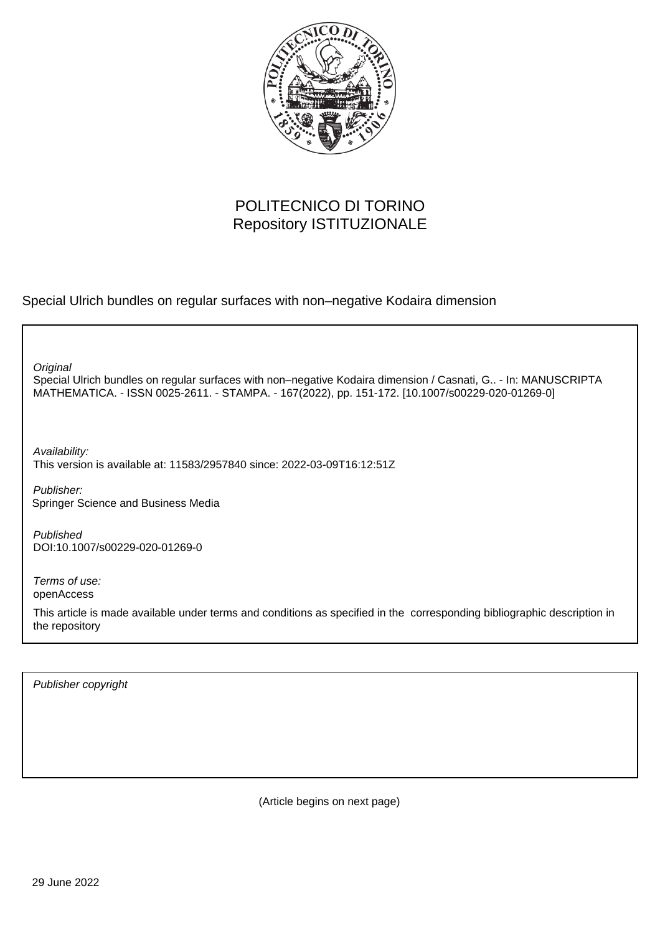

# POLITECNICO DI TORINO Repository ISTITUZIONALE

Special Ulrich bundles on regular surfaces with non–negative Kodaira dimension

**Original** 

Special Ulrich bundles on regular surfaces with non–negative Kodaira dimension / Casnati, G.. - In: MANUSCRIPTA MATHEMATICA. - ISSN 0025-2611. - STAMPA. - 167(2022), pp. 151-172. [10.1007/s00229-020-01269-0]

Availability: This version is available at: 11583/2957840 since: 2022-03-09T16:12:51Z

Publisher: Springer Science and Business Media

Published DOI:10.1007/s00229-020-01269-0

Terms of use: openAccess

This article is made available under terms and conditions as specified in the corresponding bibliographic description in the repository

Publisher copyright

(Article begins on next page)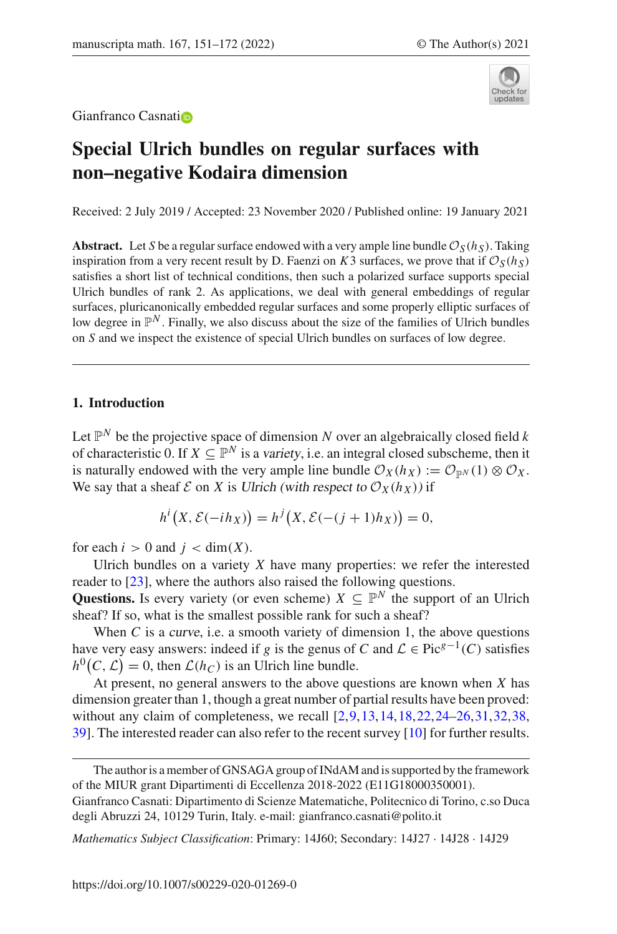

G[i](http://orcid.org/0000-0001-9272-9074)anfranco Casnatio

# **Special Ulrich bundles on regular surfaces with non–negative Kodaira dimension**

Received: 2 July 2019 / Accepted: 23 November 2020 / Published online: 19 January 2021

**Abstract.** Let *S* be a regular surface endowed with a very ample line bundle  $\mathcal{O}_S(h_S)$ . Taking inspiration from a very recent result by D. Faenzi on *K*3 surfaces, we prove that if  $\mathcal{O}_S(h_S)$ satisfies a short list of technical conditions, then such a polarized surface supports special Ulrich bundles of rank 2. As applications, we deal with general embeddings of regular surfaces, pluricanonically embedded regular surfaces and some properly elliptic surfaces of low degree in  $\mathbb{P}^N$ . Finally, we also discuss about the size of the families of Ulrich bundles on *S* and we inspect the existence of special Ulrich bundles on surfaces of low degree.

# **1. Introduction**

Let  $\mathbb{P}^N$  be the projective space of dimension *N* over an algebraically closed field *k* of characteristic 0. If  $X \subseteq \mathbb{P}^N$  is a variety, i.e. an integral closed subscheme, then it is naturally endowed with the very ample line bundle  $\mathcal{O}_X(h_X) := \mathcal{O}_{\mathbb{P}^N}(1) \otimes \mathcal{O}_X$ . We say that a sheaf  $\mathcal E$  on *X* is Ulrich (with respect to  $\mathcal O_X(h_X)$ ) if

$$
h^{i}\big(X,\mathcal{E}(-ih_{X})\big)=h^{j}\big(X,\mathcal{E}(-(j+1)h_{X})\big)=0,
$$

for each  $i > 0$  and  $j < \dim(X)$ .

Ulrich bundles on a variety  $X$  have many properties: we refer the interested reader to [23], where the authors also raised the following questions.

**Questions.** Is every variety (or even scheme)  $X \subseteq \mathbb{P}^N$  the support of an Ulrich sheaf? If so, what is the smallest possible rank for such a sheaf?

When  $C$  is a curve, i.e. a smooth variety of dimension 1, the above questions have very easy answers: indeed if *g* is the genus of *C* and  $\mathcal{L} \in Pic^{g-1}(C)$  satisfies  $h^0(C, \mathcal{L}) = 0$ , then  $\mathcal{L}(h_C)$  is an Ulrich line bundle.

At present, no general answers to the above questions are known when *X* has dimension greater than 1, though a great number of partial results have been proved: without any claim of completeness, we recall [2,9,13,14,18,22,24–26,31,32,38, 39]. The interested reader can also refer to the recent survey [10] for further results.

*Mathematics Subject Classification*: Primary: 14J60; Secondary: 14J27 · 14J28 · 14J29

The author is a member of GNSAGA group of INdAM and is supported by the framework of the MIUR grant Dipartimenti di Eccellenza 2018-2022 (E11G18000350001).

Gianfranco Casnati: Dipartimento di Scienze Matematiche, Politecnico di Torino, c.so Duca degli Abruzzi 24, 10129 Turin, Italy. e-mail: gianfranco.casnati@polito.it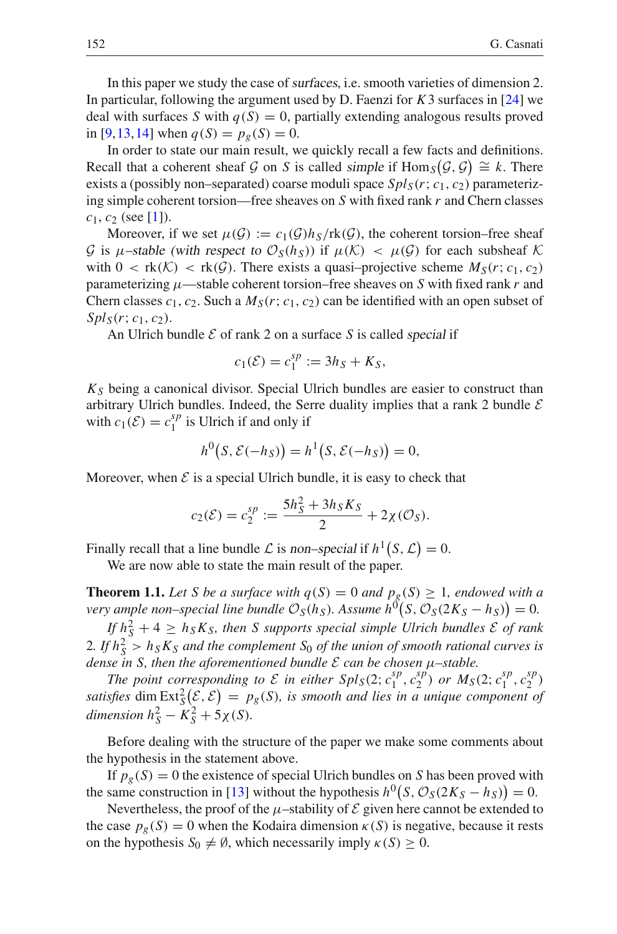In this paper we study the case of surfaces, i.e. smooth varieties of dimension 2. In particular, following the argument used by D. Faenzi for *K*3 surfaces in [24] we deal with surfaces *S* with  $q(S) = 0$ , partially extending analogous results proved in [9,13,14] when  $q(S) = p_g(S) = 0$ .

In order to state our main result, we quickly recall a few facts and definitions. Recall that a coherent sheaf *G* on *S* is called simple if  $\text{Hom}_S(\mathcal{G}, \mathcal{G}) \cong k$ . There exists a (possibly non–separated) coarse moduli space  $Spl_S(r; c_1, c_2)$  parameterizing simple coherent torsion—free sheaves on *S* with fixed rank *r* and Chern classes  $c_1$ ,  $c_2$  (see [1]).

Moreover, if we set  $\mu(G) := c_1(G)h_S/\text{rk}(G)$ , the coherent torsion–free sheaf *G* is  $\mu$ -stable (with respect to  $\mathcal{O}_S(h_S)$ ) if  $\mu(\mathcal{K}) < \mu(\mathcal{G})$  for each subsheaf  $\mathcal K$ with  $0 < \text{rk}(\mathcal{K}) < \text{rk}(\mathcal{G})$ . There exists a quasi-projective scheme  $M_S(r; c_1, c_2)$ parameterizing  $\mu$ —stable coherent torsion–free sheaves on *S* with fixed rank *r* and Chern classes  $c_1$ ,  $c_2$ . Such a  $M_S(r; c_1, c_2)$  can be identified with an open subset of  $Spl_S(r; c_1, c_2)$ .

An Ulrich bundle *E* of rank 2 on a surface *S* is called special if

$$
c_1(\mathcal{E})=c_1^{sp}:=3h_S+K_S,
$$

*KS* being a canonical divisor. Special Ulrich bundles are easier to construct than arbitrary Ulrich bundles. Indeed, the Serre duality implies that a rank 2 bundle *E* with  $c_1(\mathcal{E}) = c_1^{sp}$  is Ulrich if and only if

$$
h^0(S, \mathcal{E}(-h_S)) = h^1(S, \mathcal{E}(-h_S)) = 0,
$$

Moreover, when  $\mathcal E$  is a special Ulrich bundle, it is easy to check that

$$
c_2(\mathcal{E}) = c_2^{sp} := \frac{5h_S^2 + 3h_S K_S}{2} + 2\chi(\mathcal{O}_S).
$$

Finally recall that a line bundle  $\mathcal L$  is non–special if  $h^1(S, \mathcal L) = 0$ .

We are now able to state the main result of the paper.

**Theorem 1.1.** *Let S be a surface with*  $q(S) = 0$  *and*  $p_g(S) \ge 1$ *, endowed with a very ample non–special line bundle*  $\mathcal{O}_S(h_S)$ . Assume  $h^0(S, \mathcal{O}_S(2K_S - h_S)) = 0$ .

*If*  $h_S^2 + 4 \geq h_S K_S$ , then *S* supports special simple Ulrich bundles  $\mathcal{E}$  of rank 2. If  $h_S^2 > h_S K_S$  and the complement  $S_0$  of the union of smooth rational curves is *dense in S, then the aforementioned bundle E can be chosen* μ*–stable.*

*The point corresponding to*  $\mathcal{E}$  *in either Spls*(2;  $c_1^{sp}$ ,  $c_2^{sp}$ ) *or Ms*(2;  $c_1^{sp}$ ,  $c_2^{sp}$ ) satisfies  $\dim \text{Ext}^2_{S}(\mathcal{E}, \mathcal{E}) = p_g(S)$ , is smooth and lies in a unique component of  $dimension\ h_S^2 - K_S^2 + 5\chi(S)$ .

Before dealing with the structure of the paper we make some comments about the hypothesis in the statement above.

If  $p_g(S) = 0$  the existence of special Ulrich bundles on *S* has been proved with the same construction in [13] without the hypothesis  $h^0(S, \mathcal{O}_S(2K_S - h_S)) = 0$ .

Nevertheless, the proof of the  $\mu$ -stability of  $\mathcal E$  given here cannot be extended to the case  $p_g(S) = 0$  when the Kodaira dimension  $\kappa(S)$  is negative, because it rests on the hypothesis  $S_0 \neq \emptyset$ , which necessarily imply  $\kappa(S) \geq 0$ .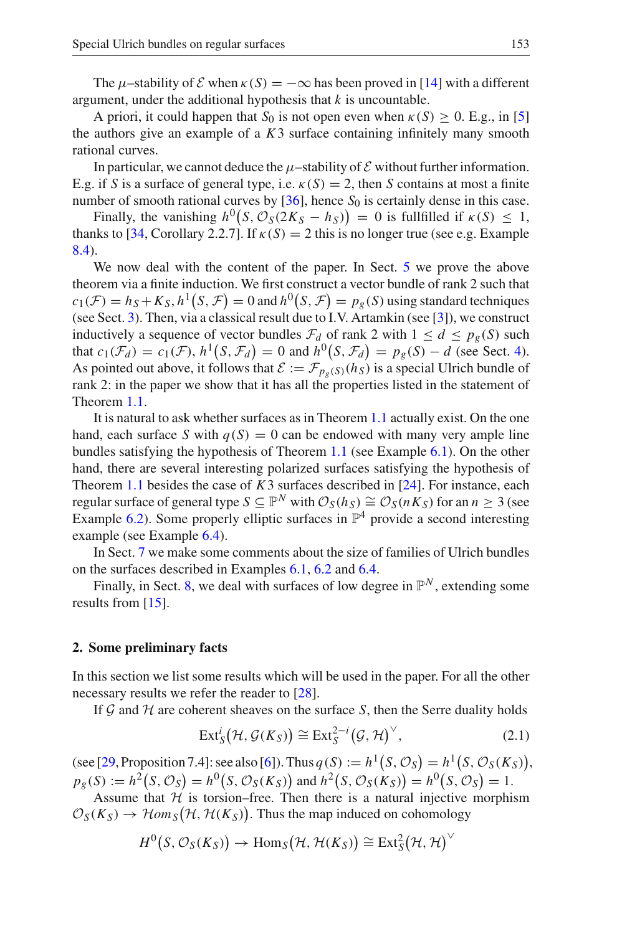The  $\mu$ –stability of  $\mathcal E$  when  $\kappa(S) = -\infty$  has been proved in [14] with a different argument, under the additional hypothesis that *k* is uncountable.

A priori, it could happen that  $S_0$  is not open even when  $\kappa(S) \geq 0$ . E.g., in [5] the authors give an example of a *K*3 surface containing infinitely many smooth rational curves.

In particular, we cannot deduce the  $\mu$ –stability of  $\mathcal E$  without further information. E.g. if *S* is a surface of general type, i.e.  $\kappa(S) = 2$ , then *S* contains at most a finite number of smooth rational curves by  $[36]$ , hence  $S_0$  is certainly dense in this case.

Finally, the vanishing  $h^0(S, \mathcal{O}_S(2K_S - h_S)) = 0$  is fullfilled if  $\kappa(S) \leq 1$ , thanks to [34, Corollary 2.2.7]. If  $\kappa(S) = 2$  this is no longer true (see e.g. Example 8.4).

We now deal with the content of the paper. In Sect. 5 we prove the above theorem via a finite induction. We first construct a vector bundle of rank 2 such that  $c_1(\mathcal{F}) = h_S + K_S$ ,  $h^1(S, \mathcal{F}) = 0$  and  $h^0(S, \mathcal{F}) = p_g(S)$  using standard techniques (see Sect. 3). Then, via a classical result due to I.V. Artamkin (see [3]), we construct inductively a sequence of vector bundles  $\mathcal{F}_d$  of rank 2 with  $1 \leq d \leq p_g(S)$  such that  $c_1(\mathcal{F}_d) = c_1(\mathcal{F})$ ,  $h^1(S, \mathcal{F}_d) = 0$  and  $h^0(S, \mathcal{F}_d) = p_g(S) - d$  (see Sect. 4). As pointed out above, it follows that  $\mathcal{E} := \mathcal{F}_{p_g(S)}(h_S)$  is a special Ulrich bundle of rank 2: in the paper we show that it has all the properties listed in the statement of Theorem 1.1.

It is natural to ask whether surfaces as in Theorem 1.1 actually exist. On the one hand, each surface *S* with  $q(S) = 0$  can be endowed with many very ample line bundles satisfying the hypothesis of Theorem 1.1 (see Example 6.1). On the other hand, there are several interesting polarized surfaces satisfying the hypothesis of Theorem 1.1 besides the case of *K*3 surfaces described in [24]. For instance, each regular surface of general type  $S \subseteq \mathbb{P}^N$  with  $\mathcal{O}_S(h_S) \cong \mathcal{O}_S(nK_S)$  for an  $n \geq 3$  (see Example 6.2). Some properly elliptic surfaces in  $\mathbb{P}^4$  provide a second interesting example (see Example 6.4).

In Sect. 7 we make some comments about the size of families of Ulrich bundles on the surfaces described in Examples 6.1, 6.2 and 6.4.

Finally, in Sect. 8, we deal with surfaces of low degree in  $\mathbb{P}^N$ , extending some results from [15].

### **2. Some preliminary facts**

In this section we list some results which will be used in the paper. For all the other necessary results we refer the reader to [28].

If  $G$  and  $H$  are coherent sheaves on the surface  $S$ , then the Serre duality holds

$$
Ext_S^i(\mathcal{H}, \mathcal{G}(K_S)) \cong Ext_S^{2-i}(\mathcal{G}, \mathcal{H})^{\vee}, \tag{2.1}
$$

 $(\text{see } [29, \text{Proposition 7.4}]$ :  $\text{see also } [6]$ ). Thus  $q(S) := h^1(S, \mathcal{O}_S) = h^1(S, \mathcal{O}_S(K_S)),$  $p_g(S) := h^2(S, \mathcal{O}_S) = h^0(S, \mathcal{O}_S(K_S))$  and  $h^2(S, \mathcal{O}_S(K_S)) = h^0(S, \mathcal{O}_S) = 1$ .

Assume that  $H$  is torsion–free. Then there is a natural injective morphism  $\mathcal{O}_S(K_S) \to \mathcal{H}om_S(\mathcal{H}, \mathcal{H}(K_S))$ . Thus the map induced on cohomology

$$
H^{0}(S, \mathcal{O}_{S}(K_{S})) \rightarrow \text{Hom}_{S}(\mathcal{H}, \mathcal{H}(K_{S})) \cong \text{Ext}_{S}^{2}(\mathcal{H}, \mathcal{H})^{\vee}
$$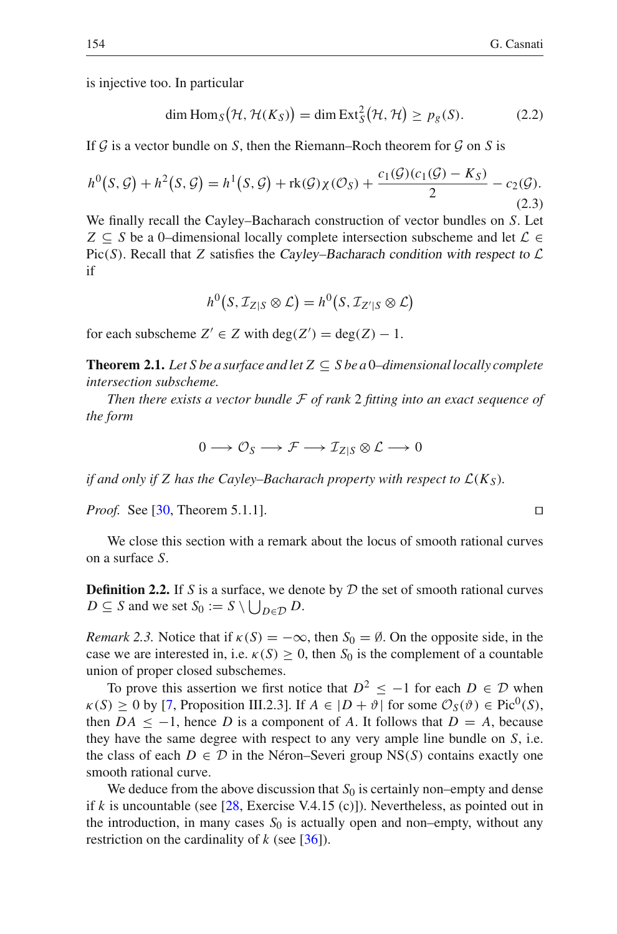is injective too. In particular

$$
\dim \text{Hom}_S(\mathcal{H}, \mathcal{H}(K_S)) = \dim \text{Ext}_S^2(\mathcal{H}, \mathcal{H}) \ge p_g(S). \tag{2.2}
$$

If *G* is a vector bundle on *S*, then the Riemann–Roch theorem for *G* on *S* is

$$
h^{0}(S, \mathcal{G}) + h^{2}(S, \mathcal{G}) = h^{1}(S, \mathcal{G}) + \text{rk}(\mathcal{G})\chi(\mathcal{O}_{S}) + \frac{c_{1}(\mathcal{G})(c_{1}(\mathcal{G}) - K_{S})}{2} - c_{2}(\mathcal{G}).
$$
\n(2.3)

We finally recall the Cayley–Bacharach construction of vector bundles on *S*. Let *Z* ⊆ *S* be a 0–dimensional locally complete intersection subscheme and let  $\mathcal{L}$  ∈ Pic(*S*). Recall that *Z* satisfies the *Cayley–Bacharach condition with respect to*  $\mathcal{L}$ if

$$
h^0(S, \mathcal{I}_{Z|S} \otimes \mathcal{L}) = h^0(S, \mathcal{I}_{Z'|S} \otimes \mathcal{L})
$$

for each subscheme  $Z' \in Z$  with  $deg(Z') = deg(Z) - 1$ .

**Theorem 2.1.** Let S be a surface and let  $Z \subseteq S$  be a 0–dimensional locally complete *intersection subscheme.*

*Then there exists a vector bundle F of rank* 2 *fitting into an exact sequence of the form*

$$
0 \longrightarrow \mathcal{O}_S \longrightarrow \mathcal{F} \longrightarrow \mathcal{I}_{Z|S} \otimes \mathcal{L} \longrightarrow 0
$$

*if and only if Z has the Cayley–Bacharach property with respect to*  $\mathcal{L}(K_S)$ *.* 

*Proof.* See [30, Theorem 5.1.1]. □

We close this section with a remark about the locus of smooth rational curves on a surface *S*.

**Definition 2.2.** If *S* is a surface, we denote by  $D$  the set of smooth rational curves  $D \subseteq S$  and we set  $S_0 := S \setminus \bigcup_{D \in \mathcal{D}} D$ .

*Remark 2.3.* Notice that if  $\kappa(S) = -\infty$ , then  $S_0 = \emptyset$ . On the opposite side, in the case we are interested in, i.e.  $\kappa(S) \geq 0$ , then  $S_0$  is the complement of a countable union of proper closed subschemes.

To prove this assertion we first notice that  $D^2 \le -1$  for each  $D \in \mathcal{D}$  when  $\kappa(S) \ge 0$  by [7, Proposition III.2.3]. If  $A \in |D + \vartheta|$  for some  $\mathcal{O}_S(\vartheta) \in \text{Pic}^0(S)$ , then  $DA \leq -1$ , hence *D* is a component of *A*. It follows that  $D = A$ , because they have the same degree with respect to any very ample line bundle on *S*, i.e. the class of each  $D \in \mathcal{D}$  in the Néron–Severi group NS(*S*) contains exactly one smooth rational curve.

We deduce from the above discussion that  $S_0$  is certainly non–empty and dense if  $k$  is uncountable (see  $[28, \text{ Exercise V.4.15 (c)}]$ ). Nevertheless, as pointed out in the introduction, in many cases  $S_0$  is actually open and non–empty, without any restriction on the cardinality of *k* (see [36]).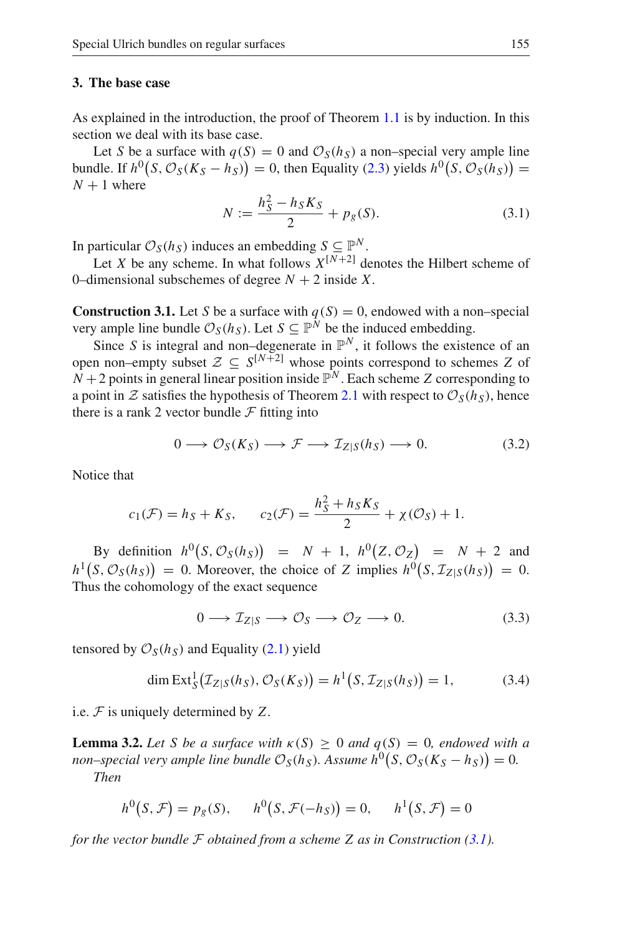### **3. The base case**

As explained in the introduction, the proof of Theorem 1.1 is by induction. In this section we deal with its base case.

Let *S* be a surface with  $q(S) = 0$  and  $\mathcal{O}_S(h_S)$  a non–special very ample line bundle. If  $h^0(S, \mathcal{O}_S(K_S - h_S)) = 0$ , then Equality (2.3) yields  $h^0(S, \mathcal{O}_S(h_S)) =$  $N + 1$  where

$$
N := \frac{h_S^2 - h_S K_S}{2} + p_g(S). \tag{3.1}
$$

In particular  $\mathcal{O}_S(h_S)$  induces an embedding  $S \subseteq \mathbb{P}^N$ .

Let *X* be any scheme. In what follows  $\overline{X}^{[N+2]}$  denotes the Hilbert scheme of 0–dimensional subschemes of degree  $N + 2$  inside X.

**Construction 3.1.** Let *S* be a surface with  $q(S) = 0$ , endowed with a non–special very ample line bundle  $\mathcal{O}_S(h_S)$ . Let  $S \subseteq \mathbb{P}^N$  be the induced embedding.

Since *S* is integral and non–degenerate in  $\mathbb{P}^N$ , it follows the existence of an open non–empty subset  $\mathcal{Z} \subseteq S^{[N+2]}$  whose points correspond to schemes Z of  $N + 2$  points in general linear position inside  $\mathbb{P}^N$ . Each scheme *Z* corresponding to a point in  $Z$  satisfies the hypothesis of Theorem 2.1 with respect to  $\mathcal{O}_S(h_S)$ , hence there is a rank 2 vector bundle  $\mathcal F$  fitting into

$$
0 \longrightarrow \mathcal{O}_S(K_S) \longrightarrow \mathcal{F} \longrightarrow \mathcal{I}_{Z|S}(h_S) \longrightarrow 0. \tag{3.2}
$$

Notice that

$$
c_1(\mathcal{F}) = h_S + K_S, \qquad c_2(\mathcal{F}) = \frac{h_S^2 + h_S K_S}{2} + \chi(\mathcal{O}_S) + 1.
$$

By definition  $h^0(S, \mathcal{O}_S(h_S)) = N + 1$ ,  $h^0(Z, \mathcal{O}_Z) = N + 2$  and  $h^1(S, \mathcal{O}_S(h_S)) = 0$ . Moreover, the choice of *Z* implies  $h^0(S, \mathcal{I}_{Z|S}(h_S)) = 0$ . Thus the cohomology of the exact sequence

$$
0 \longrightarrow \mathcal{I}_{Z|S} \longrightarrow \mathcal{O}_S \longrightarrow \mathcal{O}_Z \longrightarrow 0. \tag{3.3}
$$

tensored by  $\mathcal{O}_S(h_S)$  and Equality (2.1) yield

$$
\dim \operatorname{Ext}^1_S\big(\mathcal{I}_{Z|S}(h_S), \mathcal{O}_S(K_S)\big) = h^1\big(S, \mathcal{I}_{Z|S}(h_S)\big) = 1,\tag{3.4}
$$

i.e. *F* is uniquely determined by *Z*.

**Lemma 3.2.** *Let S be a surface with*  $\kappa(S) \ge 0$  *and*  $q(S) = 0$ *, endowed with a non–special very ample line bundle*  $\mathcal{O}_S(h_S)$ . Assume  $h^0(S, \mathcal{O}_S(K_S - h_S)) = 0$ . *Then*

$$
h^{0}(S, \mathcal{F}) = p_{g}(S), \quad h^{0}(S, \mathcal{F}(-h_{S})) = 0, \quad h^{1}(S, \mathcal{F}) = 0
$$

*for the vector bundle F obtained from a scheme Z as in Construction (3.1).*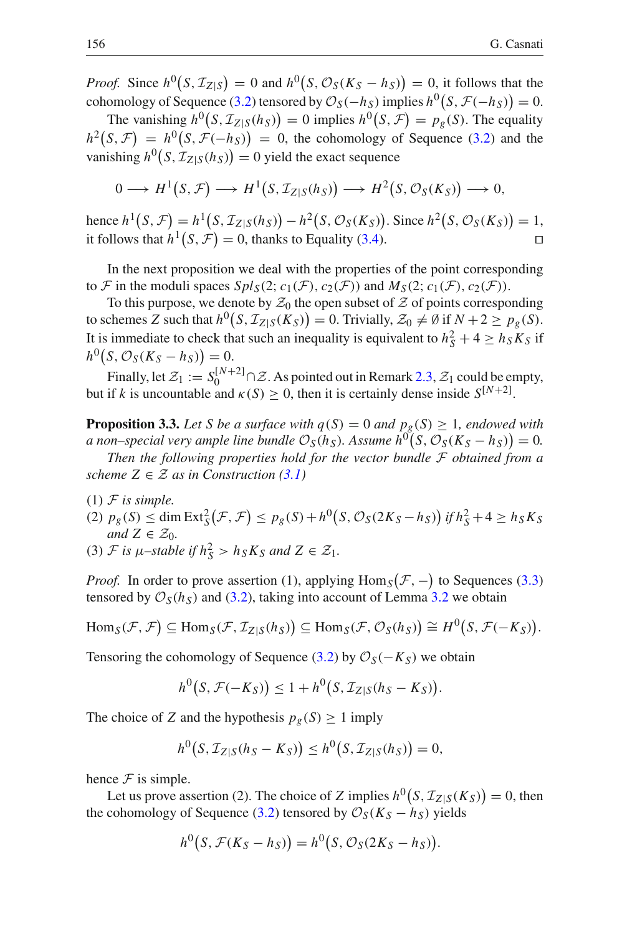*Proof.* Since  $h^0(S, \mathcal{I}_{Z|S}) = 0$  and  $h^0(S, \mathcal{O}_S(K_S - h_S)) = 0$ , it follows that the cohomology of Sequence (3.2) tensored by  $\mathcal{O}_S(-h_S)$  implies  $h^0(S, \mathcal{F}(-h_S)) = 0$ .

The vanishing  $h^0(S, \mathcal{I}_{Z|S}(h_S)) = 0$  implies  $h^0(S, \mathcal{F}) = p_g(S)$ . The equality  $h^2(S, \mathcal{F}) = h^0(S, \mathcal{F}(-h_S)) = 0$ , the cohomology of Sequence (3.2) and the vanishing  $h^0(S, \mathcal{I}_{Z|S}(h_S)) = 0$  yield the exact sequence

$$
0 \longrightarrow H^1(S, \mathcal{F}) \longrightarrow H^1(S, \mathcal{I}_{Z|S}(h_S)) \longrightarrow H^2(S, \mathcal{O}_S(K_S)) \longrightarrow 0,
$$

hence  $h^1(S, \mathcal{F}) = h^1(S, \mathcal{I}_{Z|S}(h_S)) - h^2(S, \mathcal{O}_S(K_S))$ . Since  $h^2(S, \mathcal{O}_S(K_S)) = 1$ , it follows that  $h^1(S, \mathcal{F}) = 0$ , thanks to Equality (3.4).

In the next proposition we deal with the properties of the point corresponding to *F* in the moduli spaces  $Spl_S(2; c_1(\mathcal{F}), c_2(\mathcal{F}))$  and  $M_S(2; c_1(\mathcal{F}), c_2(\mathcal{F}))$ .

To this purpose, we denote by  $\mathcal{Z}_0$  the open subset of  $\mathcal Z$  of points corresponding to schemes *Z* such that  $h^0(S, \mathcal{I}_{Z|S}(K_S)) = 0$ . Trivially,  $\mathcal{Z}_0 \neq \emptyset$  if  $N + 2 \geq p_g(S)$ . It is immediate to check that such an inequality is equivalent to  $h_S^2 + 4 \ge h_S K_S$  if  $h^0(S, \mathcal{O}_S(K_S - h_S)) = 0.$ 

Finally, let  $\mathcal{Z}_1 := S_0^{[N+2]} \cap \mathcal{Z}$ . As pointed out in Remark 2.3,  $\mathcal{Z}_1$  could be empty, but if *k* is uncountable and  $\kappa(S) \ge 0$ , then it is certainly dense inside  $S^{[N+2]}$ .

**Proposition 3.3.** *Let S be a surface with*  $q(S) = 0$  *and*  $p_g(S) \ge 1$ *, endowed with a* non–special very ample line bundle  $\mathcal{O}_S(h_S)$ . Assume  $h^0(S, \mathcal{O}_S(K_S - h_S)) = 0$ .

*Then the following properties hold for the vector bundle F obtained from a scheme*  $Z \in \mathcal{Z}$  *as in Construction* (3.1)

- $(1)$   $F$  *is simple.*
- (2)  $p_g(S)$  ≤ dim Ext<sup>2</sup><sub>S</sub></sub>( $\mathcal{F}, \mathcal{F}$ ) ≤  $p_g(S) + h^0(S, \mathcal{O}_S(2K_S h_S))$  if  $h_S^2 + 4 \ge h_S K_S$ *and*  $Z \in \mathcal{Z}_0$ *.*
- (3) *F* is  $\mu$ -stable if  $h_S^2 > h_S K_S$  and  $Z \in \mathcal{Z}_1$ .

*Proof.* In order to prove assertion (1), applying  $\text{Hom}_S(\mathcal{F}, -)$  to Sequences (3.3) tensored by  $\mathcal{O}_S(h_S)$  and (3.2), taking into account of Lemma 3.2 we obtain

 $\text{Hom}_S(\mathcal{F}, \mathcal{F}) \subseteq \text{Hom}_S(\mathcal{F}, \mathcal{I}_{Z|S}(h_S)) \subseteq \text{Hom}_S(\mathcal{F}, \mathcal{O}_S(h_S)) \cong H^0(S, \mathcal{F}(-K_S)).$ 

Tensoring the cohomology of Sequence (3.2) by  $\mathcal{O}_S(-K_S)$  we obtain

$$
h^0(S, \mathcal{F}(-K_S)) \leq 1 + h^0(S, \mathcal{I}_{Z|S}(h_S - K_S)).
$$

The choice of *Z* and the hypothesis  $p_g(S) \ge 1$  imply

$$
h^0(S, \mathcal{I}_{Z|S}(h_S - K_S)) \leq h^0(S, \mathcal{I}_{Z|S}(h_S)) = 0,
$$

hence  $F$  is simple.

Let us prove assertion (2). The choice of *Z* implies  $h^0(S, \mathcal{I}_{Z|S}(K_S)) = 0$ , then the cohomology of Sequence (3.2) tensored by  $\mathcal{O}_S(K_S - h_S)$  yields

$$
h^{0}(S, \mathcal{F}(K_{S}-h_{S}))=h^{0}(S, \mathcal{O}_{S}(2K_{S}-h_{S})).
$$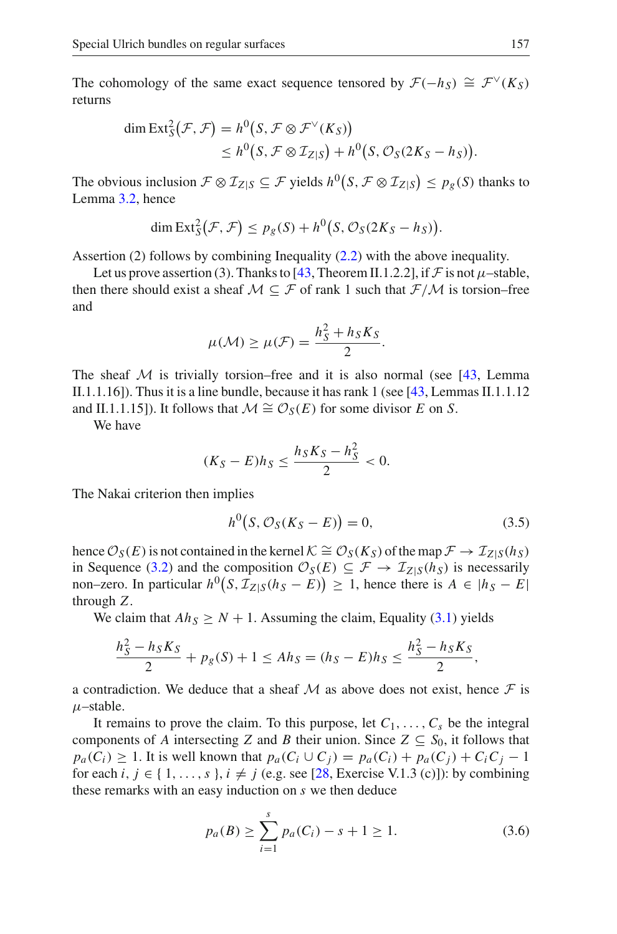The cohomology of the same exact sequence tensored by  $\mathcal{F}(-h_S) \cong \mathcal{F}^{\vee}(K_S)$ returns

dim Ext<sub>S</sub><sup>2</sup>(F, F) = 
$$
h^0(S, \mathcal{F} \otimes \mathcal{F}^{\vee}(K_S))
$$
  
\n $\leq h^0(S, \mathcal{F} \otimes \mathcal{I}_{Z|S}) + h^0(S, \mathcal{O}_S(2K_S - h_S)).$ 

The obvious inclusion  $\mathcal{F} \otimes \mathcal{I}_{Z|S} \subseteq \mathcal{F}$  yields  $h^0(S, \mathcal{F} \otimes \mathcal{I}_{Z|S}) \leq p_g(S)$  thanks to Lemma 3.2, hence

$$
\dim \operatorname{Ext}^2_S(\mathcal{F}, \mathcal{F}) \leq p_g(S) + h^0(S, \mathcal{O}_S(2K_S - h_S)).
$$

Assertion (2) follows by combining Inequality (2.2) with the above inequality.

Let us prove assertion (3). Thanks to [43, Theorem II.1.2.2], if  $\mathcal F$  is not  $\mu$ -stable, then there should exist a sheaf  $M \subseteq \mathcal{F}$  of rank 1 such that  $\mathcal{F}/M$  is torsion–free and

$$
\mu(\mathcal{M}) \geq \mu(\mathcal{F}) = \frac{h_S^2 + h_S K_S}{2}.
$$

The sheaf  $M$  is trivially torsion–free and it is also normal (see [43, Lemma II.1.1.16]). Thus it is a line bundle, because it has rank 1 (see  $[43,$  Lemmas II.1.1.12) and II.1.1.15]). It follows that  $M \cong \mathcal{O}_S(E)$  for some divisor *E* on *S*.

We have

$$
(K_S-E)h_S \leq \frac{h_S K_S - h_S^2}{2} < 0.
$$

The Nakai criterion then implies

$$
h^0(S, \mathcal{O}_S(K_S - E)) = 0,\t(3.5)
$$

hence  $\mathcal{O}_S(E)$  is not contained in the kernel  $K \cong \mathcal{O}_S(K_S)$  of the map  $\mathcal{F} \to \mathcal{I}_{Z|S}(h_S)$ in Sequence (3.2) and the composition  $\mathcal{O}_S(E) \subseteq \mathcal{F} \rightarrow \mathcal{I}_{Z|S}(h_S)$  is necessarily non–zero. In particular  $h^0(S, \mathcal{I}_{Z|S}(h_S - E)) \geq 1$ , hence there is  $A \in |h_S - E|$ through *Z*.

We claim that  $Ah_S \geq N + 1$ . Assuming the claim, Equality (3.1) yields

$$
\frac{h_S^2 - h_S K_S}{2} + p_g(S) + 1 \le A h_S = (h_S - E) h_S \le \frac{h_S^2 - h_S K_S}{2},
$$

a contradiction. We deduce that a sheaf  $M$  as above does not exist, hence  $\mathcal F$  is  $\mu$ –stable.

It remains to prove the claim. To this purpose, let  $C_1, \ldots, C_s$  be the integral components of *A* intersecting *Z* and *B* their union. Since  $Z \subseteq S_0$ , it follows that  $p_a(C_i) \ge 1$ . It is well known that  $p_a(C_i \cup C_j) = p_a(C_i) + p_a(C_j) + C_iC_j - 1$ for each  $i, j \in \{1, \ldots, s\}, i \neq j$  (e.g. see [28, Exercise V.1.3 (c)]): by combining these remarks with an easy induction on *s* we then deduce

$$
p_a(B) \ge \sum_{i=1}^s p_a(C_i) - s + 1 \ge 1.
$$
 (3.6)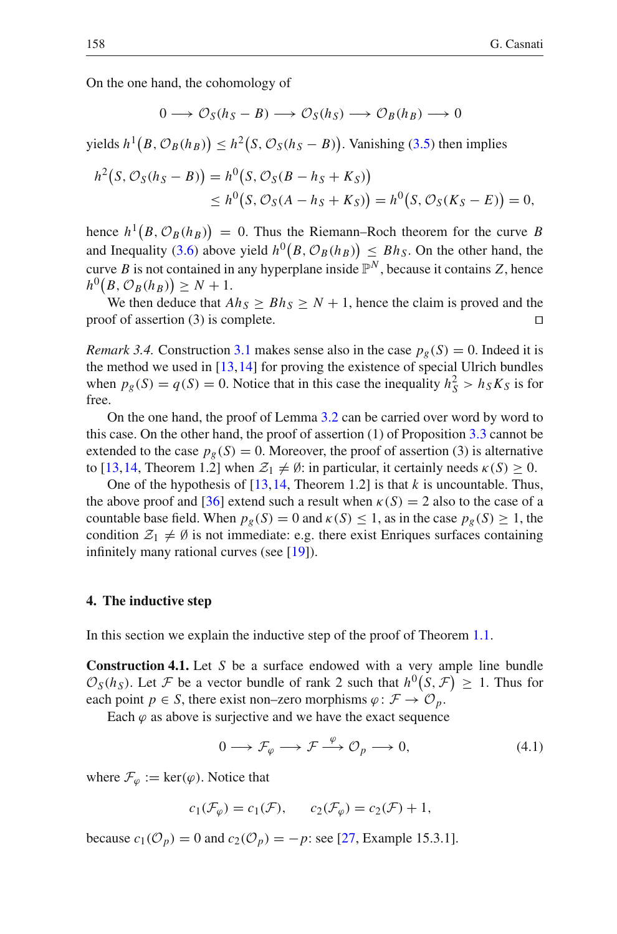On the one hand, the cohomology of

$$
0 \longrightarrow \mathcal{O}_S(h_S - B) \longrightarrow \mathcal{O}_S(h_S) \longrightarrow \mathcal{O}_B(h_B) \longrightarrow 0
$$

yields  $h^1(B, \mathcal{O}_B(h_B)) \leq h^2(S, \mathcal{O}_S(h_S - B))$ . Vanishing (3.5) then implies

$$
h^{2}(S, \mathcal{O}_{S}(h_{S} - B)) = h^{0}(S, \mathcal{O}_{S}(B - h_{S} + K_{S}))
$$
  
 
$$
\leq h^{0}(S, \mathcal{O}_{S}(A - h_{S} + K_{S})) = h^{0}(S, \mathcal{O}_{S}(K_{S} - E)) = 0,
$$

hence  $h^1(B, \mathcal{O}_B(h_B)) = 0$ . Thus the Riemann–Roch theorem for the curve *B* and Inequality (3.6) above yield  $h^0(B, \mathcal{O}_B(h_B)) \leq Bh_S$ . On the other hand, the curve *B* is not contained in any hyperplane inside  $\mathbb{P}^N$ , because it contains *Z*, hence  $h^0(B, \mathcal{O}_B(h_B)) \geq N+1.$ 

We then deduce that  $Ah_S \geq Bh_S \geq N + 1$ , hence the claim is proved and the of of assertion (3) is complete. proof of assertion (3) is complete.

*Remark 3.4.* Construction 3.1 makes sense also in the case  $p_g(S) = 0$ . Indeed it is the method we used in  $[13,14]$  for proving the existence of special Ulrich bundles when  $p_g(S) = q(S) = 0$ . Notice that in this case the inequality  $h_S^2 > h_S K_S$  is for free.

On the one hand, the proof of Lemma 3.2 can be carried over word by word to this case. On the other hand, the proof of assertion (1) of Proposition 3.3 cannot be extended to the case  $p_g(S) = 0$ . Moreover, the proof of assertion (3) is alternative to [13,14, Theorem 1.2] when  $\mathcal{Z}_1 \neq \emptyset$ : in particular, it certainly needs  $\kappa(S) \geq 0$ .

One of the hypothesis of  $[13,14,$  Theorem 1.2] is that *k* is uncountable. Thus, the above proof and [36] extend such a result when  $\kappa(S) = 2$  also to the case of a countable base field. When  $p_g(S) = 0$  and  $\kappa(S) \le 1$ , as in the case  $p_g(S) \ge 1$ , the condition  $\mathcal{Z}_1 \neq \emptyset$  is not immediate: e.g. there exist Enriques surfaces containing infinitely many rational curves (see [19]).

#### **4. The inductive step**

In this section we explain the inductive step of the proof of Theorem 1.1.

**Construction 4.1.** Let *S* be a surface endowed with a very ample line bundle  $\mathcal{O}_S(h_S)$ . Let *F* be a vector bundle of rank 2 such that  $h^0(S, \mathcal{F}) \geq 1$ . Thus for each point  $p \in S$ , there exist non–zero morphisms  $\varphi \colon \mathcal{F} \to \mathcal{O}_p$ .

Each  $\varphi$  as above is surjective and we have the exact sequence

$$
0 \longrightarrow \mathcal{F}_{\varphi} \longrightarrow \mathcal{F} \stackrel{\varphi}{\longrightarrow} \mathcal{O}_p \longrightarrow 0, \tag{4.1}
$$

where  $\mathcal{F}_{\varphi} := \ker(\varphi)$ . Notice that

$$
c_1(\mathcal{F}_{\varphi}) = c_1(\mathcal{F}), \qquad c_2(\mathcal{F}_{\varphi}) = c_2(\mathcal{F}) + 1,
$$

because  $c_1(\mathcal{O}_p) = 0$  and  $c_2(\mathcal{O}_p) = -p$ : see [27, Example 15.3.1].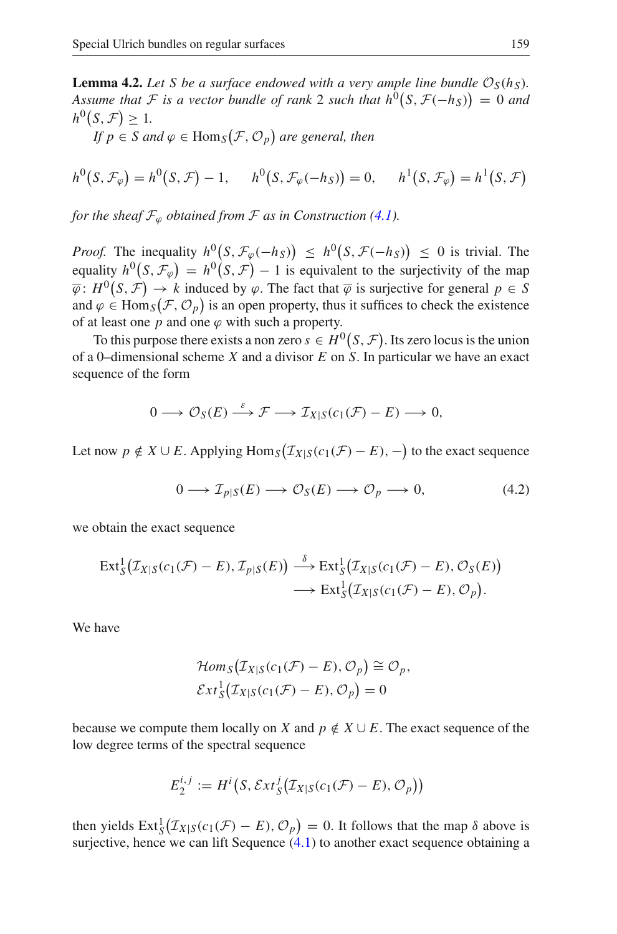**Lemma 4.2.** Let S be a surface endowed with a very ample line bundle  $\mathcal{O}_S(h_S)$ . *Assume that*  $\mathcal F$  *is a vector bundle of rank* 2 *such that*  $h^0(S, \mathcal F(-h_S)) = 0$  *and*  $h^0(S, \mathcal{F}) \geq 1.$ 

*If*  $p \in S$  and  $\varphi \in \text{Hom}_S(\mathcal{F}, \mathcal{O}_p)$  are general, then

$$
h^{0}(S, \mathcal{F}_{\varphi}) = h^{0}(S, \mathcal{F}) - 1, \quad h^{0}(S, \mathcal{F}_{\varphi}(-h_{S})) = 0, \quad h^{1}(S, \mathcal{F}_{\varphi}) = h^{1}(S, \mathcal{F})
$$

*for the sheaf*  $\mathcal{F}_{\varphi}$  *obtained from*  $\mathcal F$  *as in Construction (4.1).* 

*Proof.* The inequality  $h^0(S, \mathcal{F}_{\varphi}(-h_S)) \leq h^0(S, \mathcal{F}(-h_S)) \leq 0$  is trivial. The equality  $h^0(S, \mathcal{F}_{\varphi}) = h^0(S, \mathcal{F}) - 1$  is equivalent to the surjectivity of the map  $\overline{\varphi}$ :  $H^{0}(S, \mathcal{F}) \rightarrow k$  induced by  $\varphi$ . The fact that  $\overline{\varphi}$  is surjective for general  $p \in S$ and  $\varphi \in \text{Hom}_{\mathcal{S}}(\mathcal{F}, \mathcal{O}_p)$  is an open property, thus it suffices to check the existence of at least one  $p$  and one  $\varphi$  with such a property.

To this purpose there exists a non zero  $s \in H^0(S, \mathcal{F})$ . Its zero locus is the union of a 0–dimensional scheme *X* and a divisor *E* on *S*. In particular we have an exact sequence of the form

$$
0 \longrightarrow \mathcal{O}_S(E) \stackrel{\varepsilon}{\longrightarrow} \mathcal{F} \longrightarrow \mathcal{I}_{X|S}(c_1(\mathcal{F}) - E) \longrightarrow 0,
$$

Let now  $p \notin X \cup E$ . Applying  $\text{Hom}_S(\mathcal{I}_{X|S}(c_1(\mathcal{F}) - E), -)$  to the exact sequence

$$
0 \longrightarrow \mathcal{I}_{p|S}(E) \longrightarrow \mathcal{O}_S(E) \longrightarrow \mathcal{O}_p \longrightarrow 0,
$$
\n(4.2)

we obtain the exact sequence

$$
\operatorname{Ext}^1_S\big(\mathcal{I}_{X|S}(c_1(\mathcal{F})-E),\mathcal{I}_{p|S}(E)\big) \stackrel{\delta}{\longrightarrow} \operatorname{Ext}^1_S\big(\mathcal{I}_{X|S}(c_1(\mathcal{F})-E),\mathcal{O}_S(E)\big) \longrightarrow \operatorname{Ext}^1_S\big(\mathcal{I}_{X|S}(c_1(\mathcal{F})-E),\mathcal{O}_p\big).
$$

We have

$$
\mathcal{H}om_S(\mathcal{I}_{X|S}(c_1(\mathcal{F})-E), \mathcal{O}_p) \cong \mathcal{O}_p,
$$
  

$$
\mathcal{E}xt_S^1(\mathcal{I}_{X|S}(c_1(\mathcal{F})-E), \mathcal{O}_p) = 0
$$

because we compute them locally on *X* and  $p \notin X \cup E$ . The exact sequence of the low degree terms of the spectral sequence

$$
E_2^{i,j} := H^i(S, \mathcal{E}xt_S^j(\mathcal{I}_{X|S}(c_1(\mathcal{F}) - E), \mathcal{O}_p))
$$

then yields  $\text{Ext}^1_{S}(\mathcal{I}_{X|S}(c_1(\mathcal{F}) - E), \mathcal{O}_p) = 0$ . It follows that the map  $\delta$  above is surjective, hence we can lift Sequence  $(4.1)$  to another exact sequence obtaining a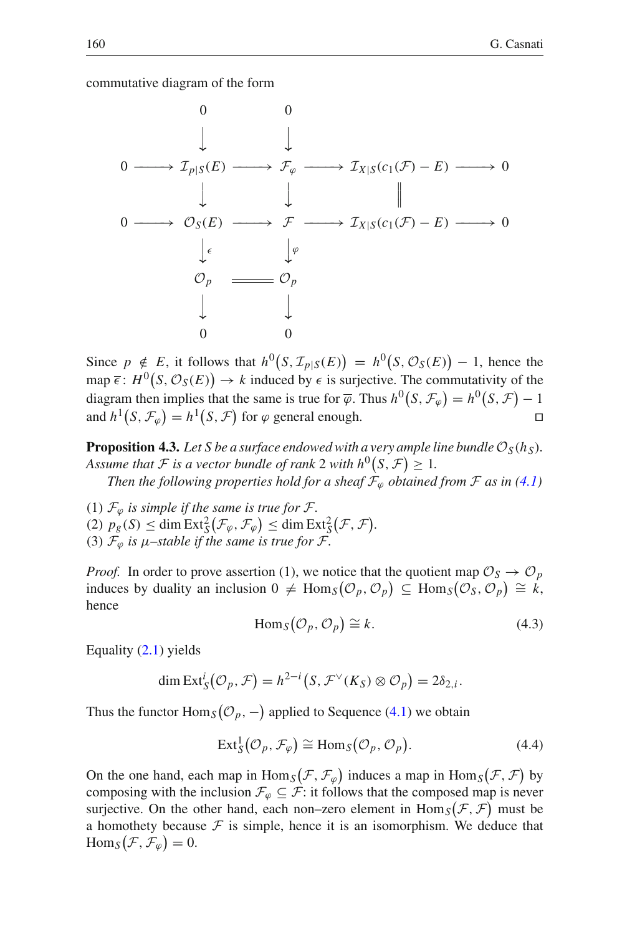commutative diagram of the form



Since  $p \notin E$ , it follows that  $h^0(S, \mathcal{I}_{p|S}(E)) = h^0(S, \mathcal{O}_S(E)) - 1$ , hence the map  $\overline{\epsilon}$ :  $H^0(S, \mathcal{O}_S(E)) \to k$  induced by  $\epsilon$  is surjective. The commutativity of the diagram then implies that the same is true for  $\overline{\varphi}$ . Thus  $h^0(S, \mathcal{F}_{\varphi}) = h^0(S, \mathcal{F}) - 1$ and  $h^1(S, \mathcal{F}_\varphi) = h^1(S, \mathcal{F})$  for  $\varphi$  general enough.

**Proposition 4.3.** Let S be a surface endowed with a very ample line bundle  $\mathcal{O}_S(h_S)$ . Assume that  $F$  is a vector bundle of rank 2 with  $h^0(S, F) \geq 1$ .

*Then the following properties hold for a sheaf*  $\mathcal{F}_{\varphi}$  *obtained from*  $\mathcal F$  *as in* (4.1)

(1)  $\mathcal{F}_{\varphi}$  *is simple if the same is true for*  $\mathcal{F}$ *.* (2)  $p_g(S) \le \dim \text{Ext}^2_S(\mathcal{F}_{\varphi}, \mathcal{F}_{\varphi}) \le \dim \text{Ext}^2_S(\mathcal{F}, \mathcal{F}).$ (3)  $\mathcal{F}_{\varphi}$  *is*  $\mu$ -stable if the same is true for  $\mathcal{F}$ .

*Proof.* In order to prove assertion (1), we notice that the quotient map  $\mathcal{O}_S \rightarrow \mathcal{O}_p$ induces by duality an inclusion  $0 \neq \text{Hom}_{S}(\mathcal{O}_{p}, \mathcal{O}_{p}) \subseteq \text{Hom}_{S}(\mathcal{O}_{S}, \mathcal{O}_{p}) \cong k$ , hence

$$
Hom_S(\mathcal{O}_p, \mathcal{O}_p) \cong k. \tag{4.3}
$$

Equality (2.1) yields

$$
\dim \operatorname{Ext}^i_{\mathcal{S}}(\mathcal{O}_p, \mathcal{F}) = h^{2-i}(\mathcal{S}, \mathcal{F}^{\vee}(K_{\mathcal{S}}) \otimes \mathcal{O}_p) = 2\delta_{2,i}.
$$

Thus the functor  $\text{Hom}_S(\mathcal{O}_p, -)$  applied to Sequence (4.1) we obtain

$$
\operatorname{Ext}_{S}^{1}(\mathcal{O}_{p}, \mathcal{F}_{\varphi}) \cong \operatorname{Hom}_{S}(\mathcal{O}_{p}, \mathcal{O}_{p}). \tag{4.4}
$$

On the one hand, each map in  $\text{Hom}_S(\mathcal{F}, \mathcal{F}_\varphi)$  induces a map in  $\text{Hom}_S(\mathcal{F}, \mathcal{F})$  by composing with the inclusion  $\mathcal{F}_{\varphi} \subseteq \mathcal{F}$ : it follows that the composed map is never surjective. On the other hand, each non–zero element in  $\text{Hom}_S(\mathcal{F}, \mathcal{F})$  must be a homothety because  $F$  is simple, hence it is an isomorphism. We deduce that  $\text{Hom}_S(\mathcal{F}, \mathcal{F}_\varphi) = 0.$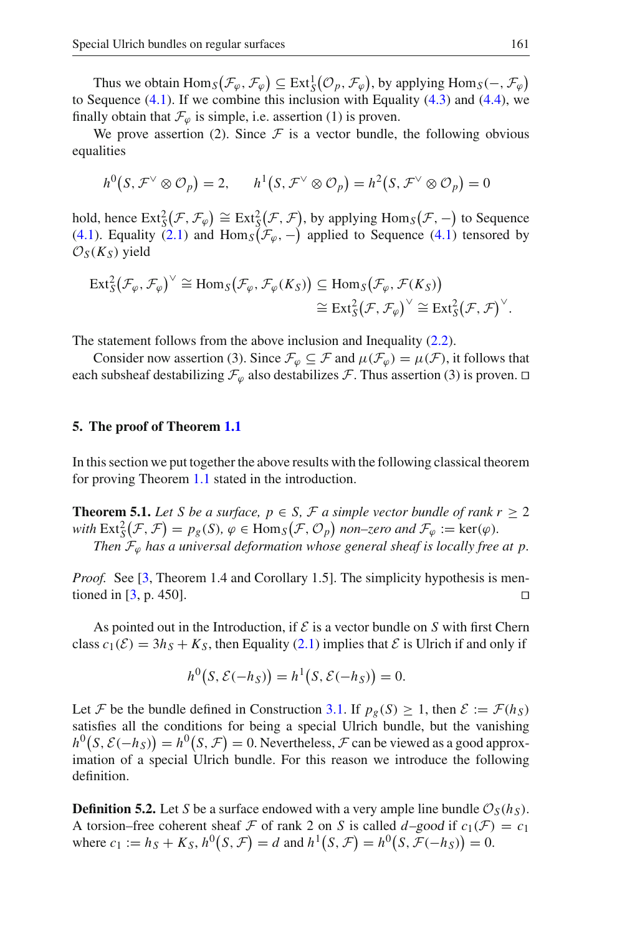Thus we obtain  $\text{Hom}_S(\mathcal{F}_{\varphi}, \mathcal{F}_{\varphi}) \subseteq \text{Ext}^1_S(\mathcal{O}_p, \mathcal{F}_{\varphi})$ , by applying  $\text{Hom}_S(-, \mathcal{F}_{\varphi})$ to Sequence  $(4.1)$ . If we combine this inclusion with Equality  $(4.3)$  and  $(4.4)$ , we finally obtain that  $\mathcal{F}_{\varphi}$  is simple, i.e. assertion (1) is proven.

We prove assertion (2). Since  $F$  is a vector bundle, the following obvious equalities

$$
h^{0}(S, \mathcal{F}^{\vee} \otimes \mathcal{O}_{p}) = 2, \qquad h^{1}(S, \mathcal{F}^{\vee} \otimes \mathcal{O}_{p}) = h^{2}(S, \mathcal{F}^{\vee} \otimes \mathcal{O}_{p}) = 0
$$

hold, hence  $\text{Ext}^2_{S}(\mathcal{F}, \mathcal{F}_{\varphi}) \cong \text{Ext}^2_{S}(\mathcal{F}, \mathcal{F})$ , by applying  $\text{Hom}_S(\mathcal{F}, -)$  to Sequence (4.1). Equality (2.1) and  $\text{Hom}_S(\mathcal{F}_{\varphi},-)$  applied to Sequence (4.1) tensored by  $\mathcal{O}_S(K_S)$  yield

$$
\operatorname{Ext}_{S}^{2}(\mathcal{F}_{\varphi},\mathcal{F}_{\varphi})^{\vee} \cong \operatorname{Hom}_{S}(\mathcal{F}_{\varphi},\mathcal{F}_{\varphi}(K_{S})) \subseteq \operatorname{Hom}_{S}(\mathcal{F}_{\varphi},\mathcal{F}(K_{S}))
$$

$$
\cong \operatorname{Ext}_{S}^{2}(\mathcal{F},\mathcal{F}_{\varphi})^{\vee} \cong \operatorname{Ext}_{S}^{2}(\mathcal{F},\mathcal{F})^{\vee}.
$$

The statement follows from the above inclusion and Inequality (2.2).

Consider now assertion (3). Since  $\mathcal{F}_{\varphi} \subseteq \mathcal{F}$  and  $\mu(\mathcal{F}_{\varphi}) = \mu(\mathcal{F})$ , it follows that each subsheaf destabilizing  $\mathcal{F}_{\varphi}$  also destabilizes  $\mathcal{F}$ . Thus assertion (3) is proven.  $\Box$ 

#### **5. The proof of Theorem 1.1**

In this section we put together the above results with the following classical theorem for proving Theorem 1.1 stated in the introduction.

**Theorem 5.1.** Let S be a surface,  $p \in S$ , F a simple vector bundle of rank  $r \geq 2$  $\text{with } \text{Ext}_{S}^{2}(\mathcal{F}, \mathcal{F}) = p_{g}(S), \varphi \in \text{Hom}_{S}(\mathcal{F}, \mathcal{O}_{p}) \text{ non-zero and } \mathcal{F}_{\varphi} := \text{ker}(\varphi).$ *Then*  $F_{\varphi}$  *has a universal deformation whose general sheaf is locally free at p.* 

*Proof.* See [3, Theorem 1.4 and Corollary 1.5]. The simplicity hypothesis is mentioned in [3, p. 450].

As pointed out in the Introduction, if  $\mathcal E$  is a vector bundle on  $S$  with first Chern class  $c_1(\mathcal{E}) = 3h_S + K_S$ , then Equality (2.1) implies that  $\mathcal E$  is Ulrich if and only if

$$
h^{0}(S, \mathcal{E}(-h_{S})) = h^{1}(S, \mathcal{E}(-h_{S})) = 0.
$$

Let *F* be the bundle defined in Construction 3.1. If  $p_g(S) \ge 1$ , then  $\mathcal{E} := \mathcal{F}(h_S)$ satisfies all the conditions for being a special Ulrich bundle, but the vanishing  $h^0(S, \mathcal{E}(-h_S)) = h^0(S, \mathcal{F}) = 0$ . Nevertheless,  $\mathcal{F}$  can be viewed as a good approximation of a special Ulrich bundle. For this reason we introduce the following definition.

**Definition 5.2.** Let *S* be a surface endowed with a very ample line bundle  $\mathcal{O}_S(h_S)$ . A torsion–free coherent sheaf *F* of rank 2 on *S* is called *d*–good if  $c_1(\mathcal{F}) = c_1$ where  $c_1 := h_S + K_S$ ,  $h^0(S, \mathcal{F}) = d$  and  $h^1(S, \mathcal{F}) = h^0(S, \mathcal{F}(-h_S)) = 0$ .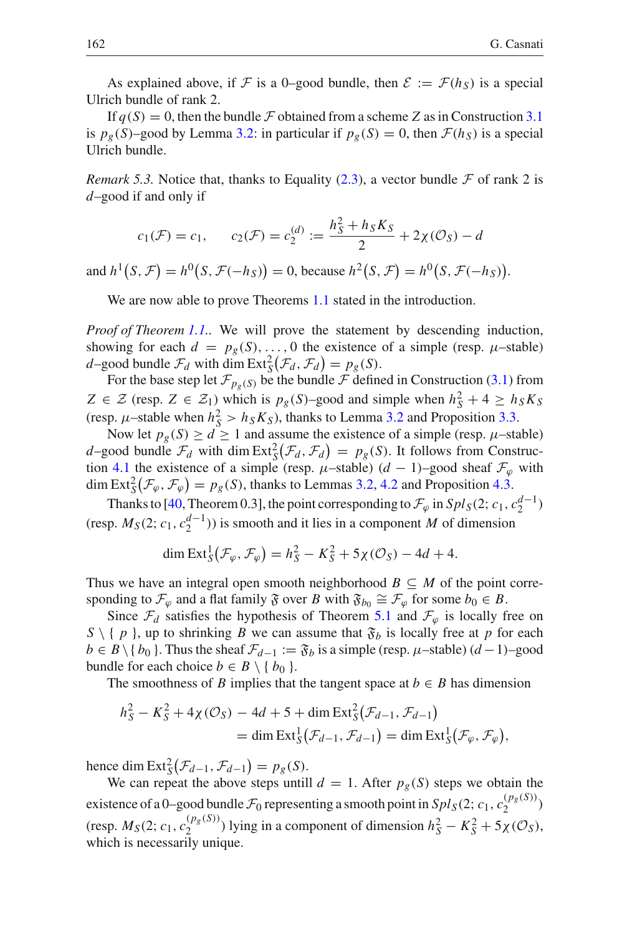As explained above, if  $\mathcal F$  is a 0–good bundle, then  $\mathcal E := \mathcal F(h_S)$  is a special Ulrich bundle of rank 2.

If  $q(S) = 0$ , then the bundle *F* obtained from a scheme *Z* as in Construction 3.1 is  $p_g(S)$ –good by Lemma 3.2: in particular if  $p_g(S) = 0$ , then  $\mathcal{F}(h_S)$  is a special Ulrich bundle.

*Remark 5.3.* Notice that, thanks to Equality  $(2.3)$ , a vector bundle  $\mathcal F$  of rank 2 is *d*–good if and only if

$$
c_1(\mathcal{F}) = c_1
$$
,  $c_2(\mathcal{F}) = c_2^{(d)} := \frac{h_S^2 + h_S K_S}{2} + 2\chi(\mathcal{O}_S) - d$ 

and  $h^1(S, \mathcal{F}) = h^0(S, \mathcal{F}(-h_S)) = 0$ , because  $h^2(S, \mathcal{F}) = h^0(S, \mathcal{F}(-h_S))$ .

We are now able to prove Theorems 1.1 stated in the introduction.

*Proof of Theorem 1.1..* We will prove the statement by descending induction, showing for each  $d = p_g(S), \ldots, 0$  the existence of a simple (resp.  $\mu$ -stable)  $d$ -good bundle  $\mathcal{F}_d$  with dim  $\text{Ext}^2_S(\mathcal{F}_d, \mathcal{F}_d) = p_g(S)$ .

For the base step let  $\mathcal{F}_{p_g(S)}$  be the bundle  $\mathcal F$  defined in Construction (3.1) from *Z* ∈ *Z* (resp. *Z* ∈ *Z*<sub>1</sub>) which is *p<sub>g</sub>*(*S*)–good and simple when  $h_S^2 + 4 \ge h_S K_S$ (resp.  $\mu$ –stable when  $h_S^2 > h_S K_S$ ), thanks to Lemma 3.2 and Proposition 3.3.

Now let  $p_g(S) \ge d \ge 1$  and assume the existence of a simple (resp.  $\mu$ –stable) *d*–good bundle  $\mathcal{F}_d$  with dim Ext<sub>S</sub></sub> $(\mathcal{F}_d, \mathcal{F}_d) = p_g(S)$ . It follows from Construction 4.1 the existence of a simple (resp.  $\mu$ –stable) ( $d - 1$ )–good sheaf  $\mathcal{F}_{\varphi}$  with dim  $\text{Ext}^2_S(\mathcal{F}_{\varphi}, \mathcal{F}_{\varphi}) = p_g(S)$ , thanks to Lemmas 3.2, 4.2 and Proposition 4.3.

Thanks to [40, Theorem 0.3], the point corresponding to  $\mathcal{F}_{\varphi}$  in  $Spl_S(2; c_1, c_2^{d-1})$ (resp.  $M_S(2; c_1, c_2^{d-1})$ ) is smooth and it lies in a component *M* of dimension

$$
\dim \operatorname{Ext}_S^1(\mathcal{F}_{\varphi}, \mathcal{F}_{\varphi}) = h_S^2 - K_S^2 + 5\chi(\mathcal{O}_S) - 4d + 4.
$$

Thus we have an integral open smooth neighborhood  $B \subseteq M$  of the point corresponding to  $\mathcal{F}_{\varphi}$  and a flat family  $\mathfrak{F}$  over *B* with  $\mathfrak{F}_{b_0} \cong \mathcal{F}_{\varphi}$  for some  $b_0 \in B$ .

Since  $\mathcal{F}_d$  satisfies the hypothesis of Theorem 5.1 and  $\mathcal{F}_\varphi$  is locally free on  $S \setminus \{ p \}$ , up to shrinking *B* we can assume that  $\mathfrak{F}_b$  is locally free at *p* for each *b* ∈ *B* \{ *b*<sub>0</sub> }. Thus the sheaf  $\mathcal{F}_{d-1} := \mathfrak{F}_b$  is a simple (resp.  $\mu$ –stable) (*d* −1)–good bundle for each choice  $b \in B \setminus \{b_0\}$ .

The smoothness of *B* implies that the tangent space at  $b \in B$  has dimension

$$
h_S^2 - K_S^2 + 4\chi(\mathcal{O}_S) - 4d + 5 + \dim \text{Ext}_S^2(\mathcal{F}_{d-1}, \mathcal{F}_{d-1})
$$
  
=  $\dim \text{Ext}_S^1(\mathcal{F}_{d-1}, \mathcal{F}_{d-1}) = \dim \text{Ext}_S^1(\mathcal{F}_{\varphi}, \mathcal{F}_{\varphi}),$ 

hence dim  $\text{Ext}_{S}^{2}(\mathcal{F}_{d-1}, \mathcal{F}_{d-1}) = p_{g}(S).$ 

We can repeat the above steps untill  $d = 1$ . After  $p_g(S)$  steps we obtain the existence of a 0–good bundle  $\mathcal{F}_0$  representing a smooth point in  $Spl_S(2; c_1, c_2^{(p_g(S))})$  $(m \text{ s.t. } R_S(2; c_1, c_2^{(p_S(S))})$  lying in a component of dimension  $h_S^2 - K_S^2 + 5\chi(\mathcal{O}_S)$ , which is necessarily unique.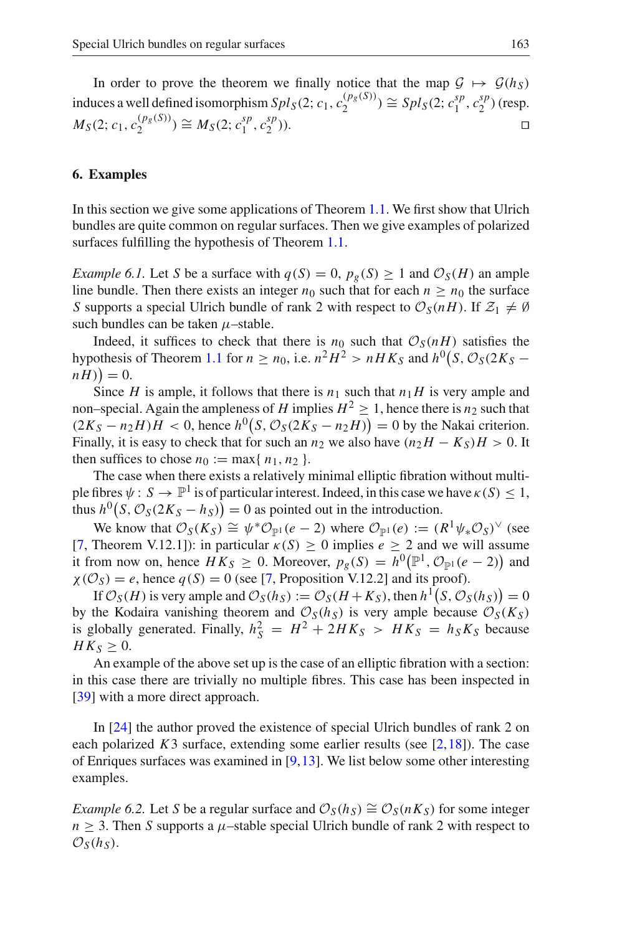In order to prove the theorem we finally notice that the map  $G \mapsto G(h_S)$ induces a well defined isomorphism  $Spl_S(2; c_1, c_2^{(p_g(S))}) \cong Spl_S(2; c_1^{sp}, c_2^{sp})$  (resp.  $M_S(2; c_1, c_2^{(p_g(S))}) \cong M_S(2; c_1^{sp}, c_2^{sp})$  $\binom{3p}{2}$ ).

# **6. Examples**

In this section we give some applications of Theorem 1.1. We first show that Ulrich bundles are quite common on regular surfaces. Then we give examples of polarized surfaces fulfilling the hypothesis of Theorem 1.1.

*Example 6.1.* Let *S* be a surface with  $q(S) = 0$ ,  $p_g(S) \ge 1$  and  $\mathcal{O}_S(H)$  an ample line bundle. Then there exists an integer  $n_0$  such that for each  $n \geq n_0$  the surface *S* supports a special Ulrich bundle of rank 2 with respect to  $\mathcal{O}_S(nH)$ . If  $\mathcal{Z}_1 \neq \emptyset$ such bundles can be taken  $\mu$ –stable.

Indeed, it suffices to check that there is  $n_0$  such that  $\mathcal{O}_S(nH)$  satisfies the hypothesis of Theorem 1.1 for  $n \ge n_0$ , i.e.  $n^2H^2 > nHK_S$  and  $h^0(S, \mathcal{O}_S(2K_S$  $n(H)$ ) = 0.

Since *H* is ample, it follows that there is  $n_1$  such that  $n_1H$  is very ample and non–special. Again the ampleness of *H* implies  $H^2 \ge 1$ , hence there is  $n_2$  such that  $(2K_S - n_2H)H < 0$ , hence  $h^0(S, \mathcal{O}_S(2K_S - n_2H)) = 0$  by the Nakai criterion. Finally, it is easy to check that for such an  $n_2$  we also have  $(n_2H - K_S)H > 0$ . It then suffices to chose  $n_0 := \max\{n_1, n_2\}$ .

The case when there exists a relatively minimal elliptic fibration without multiple fibres  $\psi: S \to \mathbb{P}^1$  is of particular interest. Indeed, in this case we have  $\kappa(S) \leq 1$ , thus  $h^0(S, \mathcal{O}_S(2K_S - h_S)) = 0$  as pointed out in the introduction.

We know that  $\mathcal{O}_S(K_S) \cong \psi^* \mathcal{O}_{\mathbb{P}^1}(e-2)$  where  $\mathcal{O}_{\mathbb{P}^1}(e) := (R^1 \psi_* \mathcal{O}_S)^\vee$  (see [7, Theorem V.12.1]): in particular  $\kappa(S) \ge 0$  implies  $e \ge 2$  and we will assume it from now on, hence  $HK_S \ge 0$ . Moreover,  $p_g(S) = h^0(\mathbb{P}^1, \mathcal{O}_{\mathbb{P}^1}(e-2))$  and  $\chi(\mathcal{O}_S) = e$ , hence  $q(S) = 0$  (see [7, Proposition V.12.2] and its proof).

If  $\mathcal{O}_S(H)$  is very ample and  $\mathcal{O}_S(h_S) := \mathcal{O}_S(H + K_S)$ , then  $h^1(S, \mathcal{O}_S(h_S)) = 0$ by the Kodaira vanishing theorem and  $\mathcal{O}_S(h_S)$  is very ample because  $\mathcal{O}_S(K_S)$ is globally generated. Finally,  $h_S^2 = H^2 + 2HK_S > HK_S = h_S K_S$  because  $HK_S > 0.$ 

An example of the above set up is the case of an elliptic fibration with a section: in this case there are trivially no multiple fibres. This case has been inspected in [39] with a more direct approach.

In [24] the author proved the existence of special Ulrich bundles of rank 2 on each polarized  $K3$  surface, extending some earlier results (see  $[2,18]$ ). The case of Enriques surfaces was examined in  $[9,13]$ . We list below some other interesting examples.

*Example 6.2.* Let *S* be a regular surface and  $\mathcal{O}_S(h_S) \cong \mathcal{O}_S(nK_S)$  for some integer  $n \geq 3$ . Then *S* supports a  $\mu$ -stable special Ulrich bundle of rank 2 with respect to  $\mathcal{O}_S(h_S)$ .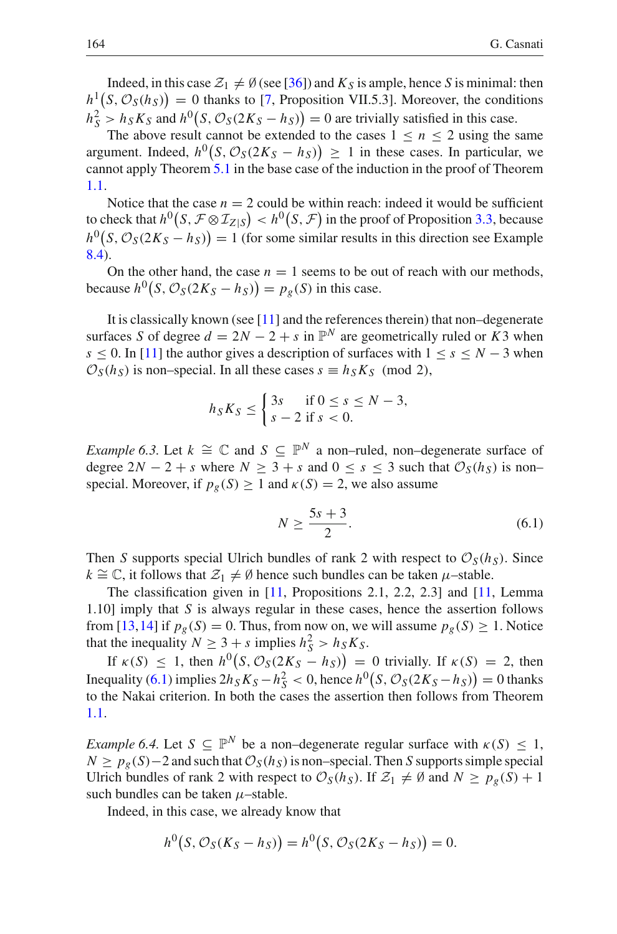Indeed, in this case  $\mathcal{Z}_1 \neq \emptyset$  (see [36]) and  $K_S$  is ample, hence *S* is minimal: then  $h^1(S, \mathcal{O}_S(h_S)) = 0$  thanks to [7, Proposition VII.5.3]. Moreover, the conditions  $h_S^2 > h_S K_S$  and  $h^0(S, \mathcal{O}_S(2K_S - h_S)) = 0$  are trivially satisfied in this case.

The above result cannot be extended to the cases  $1 \le n \le 2$  using the same argument. Indeed,  $h^0(S, \mathcal{O}_S(2K_S - h_S)) \geq 1$  in these cases. In particular, we cannot apply Theorem 5.1 in the base case of the induction in the proof of Theorem 1.1.

Notice that the case  $n = 2$  could be within reach: indeed it would be sufficient to check that  $h^0(S, \mathcal{F} \otimes \mathcal{I}_{Z|S}) < h^0(S, \mathcal{F})$  in the proof of Proposition 3.3, because  $h^0(S, \mathcal{O}_S(2K_S - h_S)) = 1$  (for some similar results in this direction see Example 8.4).

On the other hand, the case  $n = 1$  seems to be out of reach with our methods, because  $h^0(S, \mathcal{O}_S(2K_S - h_S)) = p_g(S)$  in this case.

It is classically known (see [11] and the references therein) that non–degenerate surfaces *S* of degree  $d = 2N - 2 + s$  in  $\mathbb{P}^N$  are geometrically ruled or  $\hat{K}$ 3 when *s* ≤ 0. In [11] the author gives a description of surfaces with  $1 \le s \le N - 3$  when  $\mathcal{O}_S(h_S)$  is non–special. In all these cases  $s \equiv h_S K_S \pmod{2}$ ,

$$
h_S K_S \le \begin{cases} 3s & \text{if } 0 \le s \le N-3, \\ s-2 & \text{if } s < 0. \end{cases}
$$

*Example 6.3.* Let  $k \cong \mathbb{C}$  and  $S \subseteq \mathbb{P}^N$  a non–ruled, non–degenerate surface of degree  $2N - 2 + s$  where  $N \ge 3 + s$  and  $0 \le s \le 3$  such that  $\mathcal{O}_S(h_S)$  is non– special. Moreover, if  $p_g(S) \ge 1$  and  $\kappa(S) = 2$ , we also assume

$$
N \ge \frac{5s+3}{2}.\tag{6.1}
$$

Then *S* supports special Ulrich bundles of rank 2 with respect to  $\mathcal{O}_S(h_S)$ . Since  $k \cong \mathbb{C}$ , it follows that  $\mathcal{Z}_1 \neq \emptyset$  hence such bundles can be taken  $\mu$ –stable.

The classification given in [11, Propositions 2.1, 2.2, 2.3] and [11, Lemma 1.10] imply that *S* is always regular in these cases, hence the assertion follows from [13,14] if  $p_g(S) = 0$ . Thus, from now on, we will assume  $p_g(S) \ge 1$ . Notice that the inequality  $N \geq 3 + s$  implies  $h_S^2 > h_S K_S$ .

If  $\kappa(S) \leq 1$ , then  $h^0(S, \mathcal{O}_S(2K_S - h_S)) = 0$  trivially. If  $\kappa(S) = 2$ , then Inequality (6.1) implies  $2h_S K_S - h_S^2 < 0$ , hence  $h^0(S, \mathcal{O}_S(2K_S - h_S)) = 0$  thanks to the Nakai criterion. In both the cases the assertion then follows from Theorem 1.1.

*Example 6.4.* Let  $S \subseteq \mathbb{P}^N$  be a non–degenerate regular surface with  $\kappa(S) \leq 1$ ,  $N \ge p_g(S) - 2$  and such that  $\mathcal{O}_S(h_S)$  is non–special. Then *S* supports simple special Ulrich bundles of rank 2 with respect to  $\mathcal{O}_S(h_S)$ . If  $\mathcal{Z}_1 \neq \emptyset$  and  $N \geq p_g(S) + 1$ such bundles can be taken  $\mu$ –stable.

Indeed, in this case, we already know that

$$
h^0(S, \mathcal{O}_S(K_S - h_S)) = h^0(S, \mathcal{O}_S(2K_S - h_S)) = 0.
$$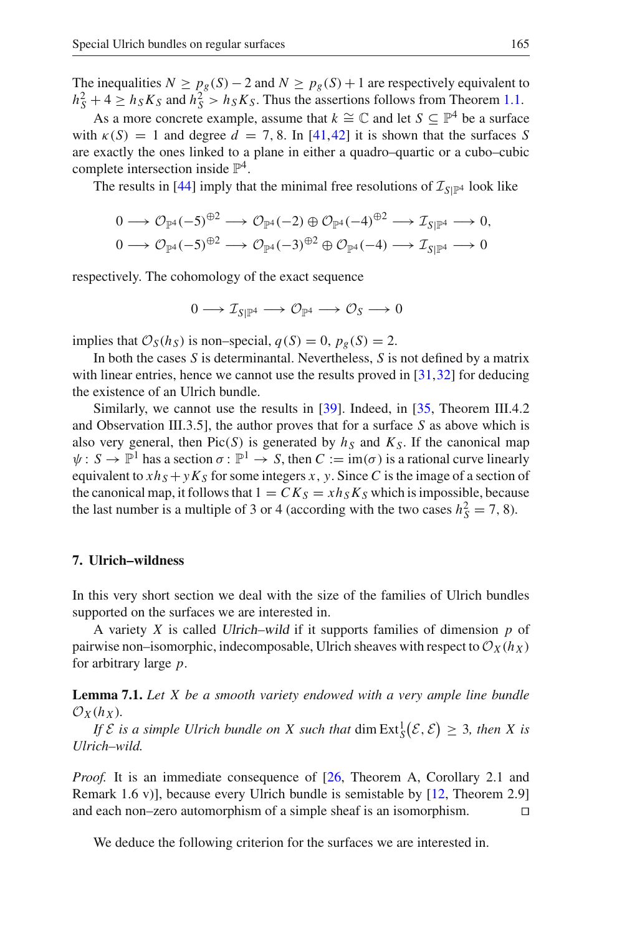The inequalities  $N \ge p_g(S) - 2$  and  $N \ge p_g(S) + 1$  are respectively equivalent to  $h_S^2 + 4 \ge h_S K_S$  and  $h_S^2 > h_S K_S$ . Thus the assertions follows from Theorem 1.1.

As a more concrete example, assume that  $k \cong \mathbb{C}$  and let  $S \subseteq \mathbb{P}^4$  be a surface with  $\kappa(S) = 1$  and degree  $d = 7, 8$ . In [41,42] it is shown that the surfaces S are exactly the ones linked to a plane in either a quadro–quartic or a cubo–cubic complete intersection inside  $\mathbb{P}^4$ .

The results in [44] imply that the minimal free resolutions of  $\mathcal{I}_{S|\mathbb{P}^4}$  look like

$$
0 \longrightarrow \mathcal{O}_{\mathbb{P}^4}(-5)^{\oplus 2} \longrightarrow \mathcal{O}_{\mathbb{P}^4}(-2) \oplus \mathcal{O}_{\mathbb{P}^4}(-4)^{\oplus 2} \longrightarrow \mathcal{I}_{S|\mathbb{P}^4} \longrightarrow 0,
$$
  

$$
0 \longrightarrow \mathcal{O}_{\mathbb{P}^4}(-5)^{\oplus 2} \longrightarrow \mathcal{O}_{\mathbb{P}^4}(-3)^{\oplus 2} \oplus \mathcal{O}_{\mathbb{P}^4}(-4) \longrightarrow \mathcal{I}_{S|\mathbb{P}^4} \longrightarrow 0
$$

respectively. The cohomology of the exact sequence

$$
0\longrightarrow \mathcal{I}_{S|\mathbb{P}^4}\longrightarrow \mathcal{O}_{\mathbb{P}^4}\longrightarrow \mathcal{O}_S\longrightarrow 0
$$

implies that  $\mathcal{O}_S(h_S)$  is non–special,  $q(S) = 0$ ,  $p_g(S) = 2$ .

In both the cases *S* is determinantal. Nevertheless, *S* is not defined by a matrix with linear entries, hence we cannot use the results proved in  $[31,32]$  for deducing the existence of an Ulrich bundle.

Similarly, we cannot use the results in [39]. Indeed, in [35, Theorem III.4.2 and Observation III.3.5], the author proves that for a surface *S* as above which is also very general, then  $Pic(S)$  is generated by  $h<sub>S</sub>$  and  $K<sub>S</sub>$ . If the canonical map  $\psi: S \to \mathbb{P}^1$  has a section  $\sigma: \mathbb{P}^1 \to S$ , then  $C := \text{im}(\sigma)$  is a rational curve linearly equivalent to  $xh_S + yK_S$  for some integers x, y. Since C is the image of a section of the canonical map, it follows that  $1 = C K_S = x h_S K_S$  which is impossible, because the last number is a multiple of 3 or 4 (according with the two cases  $h_S^2 = 7$ , 8).

# **7. Ulrich–wildness**

In this very short section we deal with the size of the families of Ulrich bundles supported on the surfaces we are interested in.

A variety *X* is called Ulrich–wild if it supports families of dimension *p* of pairwise non–isomorphic, indecomposable, Ulrich sheaves with respect to  $\mathcal{O}_X(h_X)$ for arbitrary large *p*.

**Lemma 7.1.** *Let X be a smooth variety endowed with a very ample line bundle*  $\mathcal{O}_X(h_X)$ .

*If*  $\mathcal{E}$  *is a simple Ulrich bundle on X such that* dim  $\text{Ext}^1_S(\mathcal{E}, \mathcal{E}) \geq 3$ , then X is *Ulrich–wild.*

*Proof.* It is an immediate consequence of [26, Theorem A, Corollary 2.1 and Remark 1.6 v)], because every Ulrich bundle is semistable by [12, Theorem 2.9] and each non–zero automorphism of a simple sheaf is an isomorphism.

We deduce the following criterion for the surfaces we are interested in.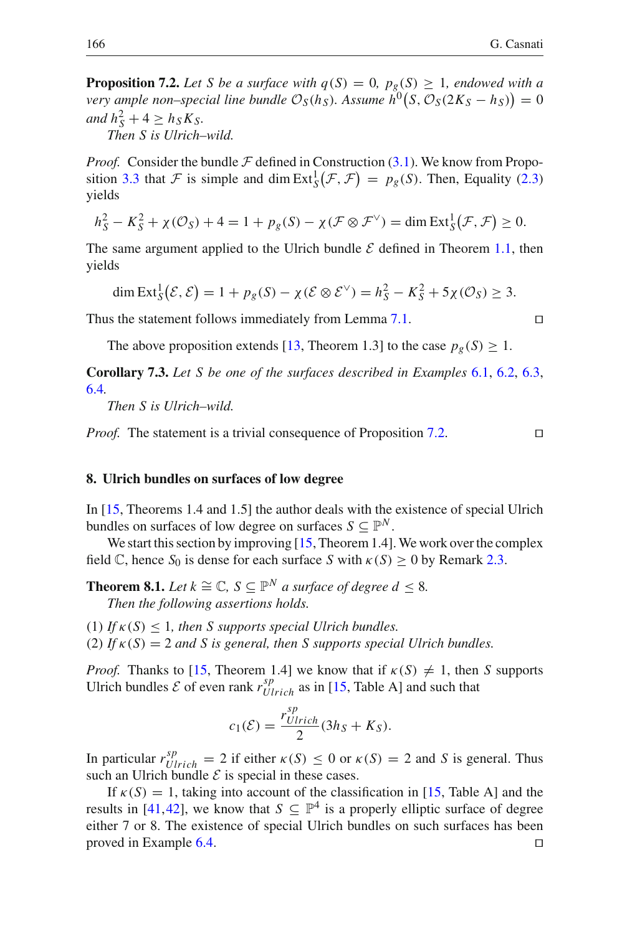**Proposition 7.2.** *Let S be a surface with*  $q(S) = 0$ *,*  $p_g(S) \ge 1$ *, endowed with a very ample non–special line bundle*  $\mathcal{O}_S(h_S)$ . Assume  $h^0(S, \mathcal{O}_S(2K_S - h_S)) = 0$  $\frac{a}{s} + 4 \geq h_S K_S$ .

*Then S is Ulrich–wild.*

*Proof.* Consider the bundle  $F$  defined in Construction (3.1). We know from Proposition 3.3 that *F* is simple and dim  $\text{Ext}^1_S(\mathcal{F}, \mathcal{F}) = p_g(S)$ . Then, Equality (2.3) yields

$$
h_S^2 - K_S^2 + \chi(\mathcal{O}_S) + 4 = 1 + p_g(S) - \chi(\mathcal{F} \otimes \mathcal{F}^{\vee}) = \dim \text{Ext}_S^1(\mathcal{F}, \mathcal{F}) \ge 0.
$$

The same argument applied to the Ulrich bundle  $\mathcal E$  defined in Theorem 1.1, then yields

$$
\dim \operatorname{Ext}_S^1(\mathcal{E}, \mathcal{E}) = 1 + p_g(S) - \chi(\mathcal{E} \otimes \mathcal{E}^\vee) = h_S^2 - K_S^2 + 5\chi(\mathcal{O}_S) \ge 3.
$$

Thus the statement follows immediately from Lemma 7.1.

The above proposition extends [13, Theorem 1.3] to the case  $p_g(S) \geq 1$ .

**Corollary 7.3.** *Let S be one of the surfaces described in Examples* 6.1, 6.2, 6.3, 6.4*.*

*Then S is Ulrich–wild.*

*Proof.* The statement is a trivial consequence of Proposition 7.2. □

# **8. Ulrich bundles on surfaces of low degree**

In [15, Theorems 1.4 and 1.5] the author deals with the existence of special Ulrich bundles on surfaces of low degree on surfaces  $S \subseteq \mathbb{P}^N$ .

We start this section by improving  $[15,$  Theorem 1.4]. We work over the complex field C, hence *S*<sub>0</sub> is dense for each surface *S* with  $\kappa(S) \ge 0$  by Remark 2.3.

**Theorem 8.1.** *Let*  $k \cong \mathbb{C}$ ,  $S \subseteq \mathbb{P}^N$  *a surface of degree*  $d \leq 8$ *.* 

*Then the following assertions holds.*

(1) *If*  $\kappa(S) \leq 1$ *, then S supports special Ulrich bundles.* 

(2) If  $\kappa(S) = 2$  and S is general, then S supports special Ulrich bundles.

*Proof.* Thanks to [15, Theorem 1.4] we know that if  $\kappa(S) \neq 1$ , then *S* supports Ulrich bundles  $\mathcal E$  of even rank  $r_{Ulrich}^{sp}$  as in [15, Table A] and such that

$$
c_1(\mathcal{E}) = \frac{r_{Ulrich}^{sp}}{2}(3h_S + K_S).
$$

In particular  $r_{Ulrich}^{sp} = 2$  if either  $\kappa(S) \le 0$  or  $\kappa(S) = 2$  and *S* is general. Thus such an Ulrich bundle  $\mathcal E$  is special in these cases.

If  $\kappa(S) = 1$ , taking into account of the classification in [15, Table A] and the results in [41,42], we know that  $S \subseteq \mathbb{P}^4$  is a properly elliptic surface of degree either 7 or 8. The existence of special Ulrich bundles on such surfaces has been proved in Example 6.4.

$$
\qquad \qquad \Box
$$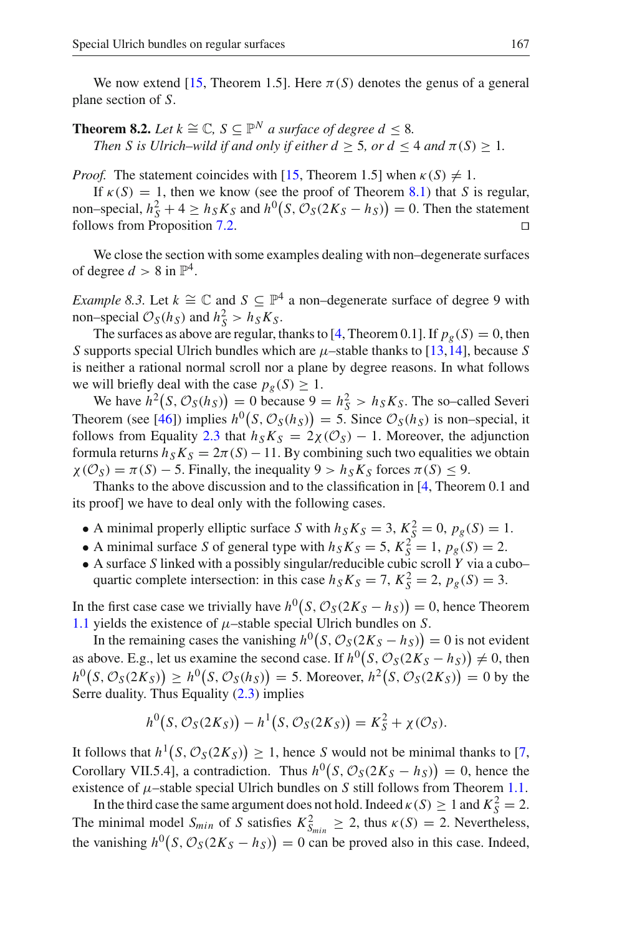We now extend [15, Theorem 1.5]. Here  $\pi(S)$  denotes the genus of a general plane section of *S*.

**Theorem 8.2.** *Let*  $k \cong \mathbb{C}$ ,  $S \subseteq \mathbb{P}^N$  *a surface of degree*  $d \leq 8$ *. Then S is Ulrich–wild if and only if either*  $d \geq 5$ *, or*  $d \leq 4$  *and*  $\pi(S) \geq 1$ *.* 

*Proof.* The statement coincides with [15, Theorem 1.5] when  $\kappa(S) \neq 1$ .

If  $\kappa(S) = 1$ , then we know (see the proof of Theorem 8.1) that *S* is regular, non–special,  $h_S^2 + 4 \ge h_S K_S$  and  $h^0(S, \mathcal{O}_S(2K_S - h_S)) = 0$ . Then the statement follows from Proposition 7.2.

We close the section with some examples dealing with non–degenerate surfaces of degree  $d > 8$  in  $\mathbb{P}^4$ .

*Example 8.3.* Let  $k \cong \mathbb{C}$  and  $S \subseteq \mathbb{P}^4$  a non–degenerate surface of degree 9 with non–special  $\mathcal{O}_S(h_S)$  and  $h_S^2 > h_S K_S$ .

The surfaces as above are regular, thanks to [4, Theorem 0.1]. If  $p_g(S) = 0$ , then *S* supports special Ulrich bundles which are  $\mu$ -stable thanks to [13,14], because *S* is neither a rational normal scroll nor a plane by degree reasons. In what follows we will briefly deal with the case  $p_g(S) \geq 1$ .

We have  $h^2(S, \mathcal{O}_S(h_S)) = 0$  because  $9 = h_S^2 > h_S K_S$ . The so–called Severi Theorem (see [46]) implies  $h^0(S, \mathcal{O}_S(h_S)) = 5$ . Since  $\mathcal{O}_S(h_S)$  is non-special, it follows from Equality 2.3 that  $h_S K_S = 2\chi(\mathcal{O}_S) - 1$ . Moreover, the adjunction formula returns  $h_S K_S = 2\pi(S) - 11$ . By combining such two equalities we obtain  $\chi(\mathcal{O}_S) = \pi(S) - 5$ . Finally, the inequality  $9 > h_S K_S$  forces  $\pi(S) \leq 9$ .

Thanks to the above discussion and to the classification in [4, Theorem 0.1 and its proof] we have to deal only with the following cases.

- A minimal properly elliptic surface *S* with  $h_S K_S = 3$ ,  $K_S^2 = 0$ ,  $p_g(S) = 1$ .
- A minimal surface *S* of general type with  $h_S K_S = 5$ ,  $K_S^2 = 1$ ,  $p_g(S) = 2$ .
- A surface *S* linked with a possibly singular/reducible cubic scroll *Y* via a cubo– quartic complete intersection: in this case  $h_S K_S = 7$ ,  $K_S^2 = 2$ ,  $p_g(S) = 3$ .

In the first case case we trivially have  $h^0(S, \mathcal{O}_S(2K_S - h_S)) = 0$ , hence Theorem 1.1 yields the existence of  $\mu$ –stable special Ulrich bundles on *S*.

In the remaining cases the vanishing  $h^0(S, \mathcal{O}_S(2K_S - h_S)) = 0$  is not evident as above. E.g., let us examine the second case. If  $h^0(S, \mathcal{O}_S(2K_S - h_S)) \neq 0$ , then  $h^0(S, \mathcal{O}_S(2K_S)) \ge h^0(S, \mathcal{O}_S(h_S)) = 5$ . Moreover,  $h^2(S, \mathcal{O}_S(2K_S)) = 0$  by the Serre duality. Thus Equality (2.3) implies

$$
h^0(S, \mathcal{O}_S(2K_S)) - h^1(S, \mathcal{O}_S(2K_S)) = K_S^2 + \chi(\mathcal{O}_S).
$$

It follows that  $h^1(S, \mathcal{O}_S(2K_S)) \geq 1$ , hence *S* would not be minimal thanks to [7, Corollary VII.5.4], a contradiction. Thus  $h^0(S, \mathcal{O}_S(2K_S - h_S)) = 0$ , hence the existence of  $\mu$ –stable special Ulrich bundles on *S* still follows from Theorem 1.1.

In the third case the same argument does not hold. Indeed  $\kappa(S) \geq 1$  and  $K_S^2 = 2$ . The minimal model *S<sub>min</sub>* of *S* satisfies  $K_{S_{min}}^2 \geq 2$ , thus  $\kappa(S) = 2$ . Nevertheless, the vanishing  $h^0(S, \mathcal{O}_S(2K_S - h_S)) = 0$  can be proved also in this case. Indeed,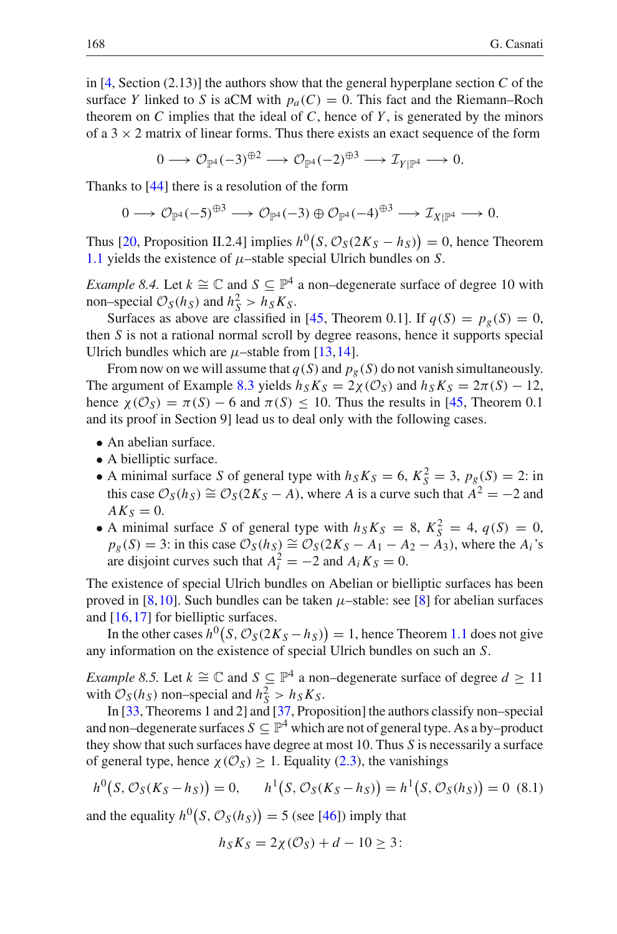in  $[4, Section (2.13)]$  the authors show that the general hyperplane section *C* of the surface *Y* linked to *S* is aCM with  $p_a(C) = 0$ . This fact and the Riemann–Roch theorem on  $C$  implies that the ideal of  $C$ , hence of  $Y$ , is generated by the minors of a  $3 \times 2$  matrix of linear forms. Thus there exists an exact sequence of the form

$$
0 \longrightarrow \mathcal{O}_{\mathbb{P}^4}(-3)^{\oplus 2} \longrightarrow \mathcal{O}_{\mathbb{P}^4}(-2)^{\oplus 3} \longrightarrow \mathcal{I}_{Y|\mathbb{P}^4} \longrightarrow 0.
$$

Thanks to [44] there is a resolution of the form

$$
0 \longrightarrow \mathcal{O}_{\mathbb{P}^4}(-5)^{\oplus 3} \longrightarrow \mathcal{O}_{\mathbb{P}^4}(-3) \oplus \mathcal{O}_{\mathbb{P}^4}(-4)^{\oplus 3} \longrightarrow \mathcal{I}_{X|\mathbb{P}^4} \longrightarrow 0.
$$

Thus [20, Proposition II.2.4] implies  $h^0(S, \mathcal{O}_S(2K_S - h_S)) = 0$ , hence Theorem 1.1 yields the existence of  $\mu$ –stable special Ulrich bundles on *S*.

*Example 8.4.* Let  $k \cong \mathbb{C}$  and  $S \subseteq \mathbb{P}^4$  a non–degenerate surface of degree 10 with non–special  $\mathcal{O}_S(h_S)$  and  $h_S^2 > h_S K_S$ .

Surfaces as above are classified in [45, Theorem 0.1]. If  $q(S) = p_g(S) = 0$ , then *S* is not a rational normal scroll by degree reasons, hence it supports special Ulrich bundles which are  $\mu$ –stable from [13,14].

From now on we will assume that  $q(S)$  and  $p_g(S)$  do not vanish simultaneously. The argument of Example 8.3 yields  $h_S K_S = 2\chi(\mathcal{O}_S)$  and  $h_S K_S = 2\pi(S) - 12$ , hence  $\chi(\mathcal{O}_S) = \pi(S) - 6$  and  $\pi(S) \le 10$ . Thus the results in [45, Theorem 0.1] and its proof in Section 9] lead us to deal only with the following cases.

- An abelian surface.
- A bielliptic surface.
- A minimal surface *S* of general type with  $h_S K_S = 6$ ,  $K_S^2 = 3$ ,  $p_g(S) = 2$ : in this case  $\mathcal{O}_S(h_S) \cong \mathcal{O}_S(2K_S - A)$ , where *A* is a curve such that  $A^2 = -2$  and  $AK_S = 0$ .
- A minimal surface *S* of general type with  $h_S K_S = 8$ ,  $K_S^2 = 4$ ,  $q(S) = 0$ ,  $p_g(S) = 3$ : in this case  $\mathcal{O}_S(h_S) \cong \mathcal{O}_S(2K_S - A_1 - A_2 - A_3)$ , where the  $A_i$ 's are disjoint curves such that  $A_i^2 = -2$  and  $A_i K_S = 0$ .

The existence of special Ulrich bundles on Abelian or bielliptic surfaces has been proved in [8,10]. Such bundles can be taken  $\mu$ –stable: see [8] for abelian surfaces and [16,17] for bielliptic surfaces.

In the other cases  $h^0(S, \mathcal{O}_S(2K_S - h_S)) = 1$ , hence Theorem 1.1 does not give any information on the existence of special Ulrich bundles on such an *S*.

*Example 8.5.* Let  $k \cong \mathbb{C}$  and  $S \subseteq \mathbb{P}^4$  a non–degenerate surface of degree  $d \geq 11$ with  $\mathcal{O}_S(h_S)$  non–special and  $h_S^2 > h_S K_S$ .

In [33, Theorems 1 and 2] and [37, Proposition] the authors classify non–special and non–degenerate surfaces  $S \subseteq \mathbb{P}^4$  which are not of general type. As a by–product they show that such surfaces have degree at most 10. Thus *S* is necessarily a surface of general type, hence  $\chi(\mathcal{O}_S) \geq 1$ . Equality (2.3), the vanishings

$$
h^{0}(S, \mathcal{O}_{S}(K_{S}-h_{S}))=0, \qquad h^{1}(S, \mathcal{O}_{S}(K_{S}-h_{S}))=h^{1}(S, \mathcal{O}_{S}(h_{S}))=0
$$
 (8.1)

and the equality  $h^0(S, \mathcal{O}_S(h_S)) = 5$  (see [46]) imply that

$$
h_S K_S = 2\chi(\mathcal{O}_S) + d - 10 \ge 3:
$$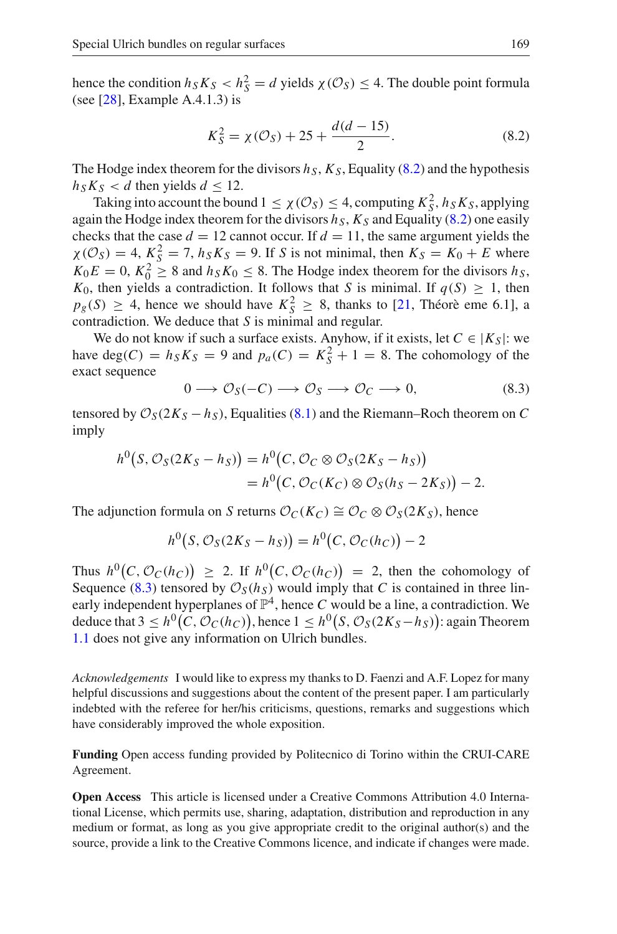hence the condition  $h_S K_S < h_S^2 = d$  yields  $\chi(\mathcal{O}_S) \leq 4$ . The double point formula (see [28], Example A.4.1.3) is

$$
K_S^2 = \chi(\mathcal{O}_S) + 25 + \frac{d(d-15)}{2}.\tag{8.2}
$$

The Hodge index theorem for the divisors  $h_S$ ,  $K_S$ , Equality (8.2) and the hypothesis  $h_S K_S < d$  then yields  $d \leq 12$ .

Taking into account the bound  $1 \le \chi(\mathcal{O}_S) \le 4$ , computing  $K_S^2$ ,  $h_S K_S$ , applying again the Hodge index theorem for the divisors  $h<sub>S</sub>$ ,  $K<sub>S</sub>$  and Equality (8.2) one easily checks that the case  $d = 12$  cannot occur. If  $d = 11$ , the same argument yields the  $\chi(\mathcal{O}_S) = 4$ ,  $K_S^2 = 7$ ,  $h_S K_S = 9$ . If *S* is not minimal, then  $K_S = K_0 + E$  where  $K_0 E = 0$ ,  $K_0^2 \ge 8$  and  $h_S K_0 \le 8$ . The Hodge index theorem for the divisors  $h_S$ , *K*<sub>0</sub>, then yields a contradiction. It follows that *S* is minimal. If  $q(S) \geq 1$ , then  $p_g(S) \geq 4$ , hence we should have  $K_S^2 \geq 8$ , thanks to [21, Théorè eme 6.1], a contradiction. We deduce that *S* is minimal and regular.

We do not know if such a surface exists. Anyhow, if it exists, let  $C \in |K_S|$ : we have deg(*C*) =  $h_S K_S$  = 9 and  $p_a(C) = K_S^2 + 1 = 8$ . The cohomology of the exact sequence

$$
0 \longrightarrow \mathcal{O}_S(-C) \longrightarrow \mathcal{O}_S \longrightarrow \mathcal{O}_C \longrightarrow 0,
$$
 (8.3)

tensored by  $\mathcal{O}_S(2K_S - h_S)$ , Equalities (8.1) and the Riemann–Roch theorem on *C* imply

$$
h^{0}(S, \mathcal{O}_{S}(2K_{S}-h_{S})) = h^{0}(C, \mathcal{O}_{C} \otimes \mathcal{O}_{S}(2K_{S}-h_{S}))
$$
  
= 
$$
h^{0}(C, \mathcal{O}_{C}(K_{C}) \otimes \mathcal{O}_{S}(h_{S}-2K_{S})) - 2.
$$

The adjunction formula on *S* returns  $\mathcal{O}_C(K_C) \cong \mathcal{O}_C \otimes \mathcal{O}_S(2K_S)$ , hence

$$
h^{0}(S, \mathcal{O}_{S}(2K_{S}-h_{S}))=h^{0}(C, \mathcal{O}_{C}(h_{C}))-2
$$

Thus  $h^0(C, \mathcal{O}_C(h_C)) \geq 2$ . If  $h^0(C, \mathcal{O}_C(h_C)) = 2$ , then the cohomology of Sequence (8.3) tensored by  $\mathcal{O}_S(h_S)$  would imply that *C* is contained in three linearly independent hyperplanes of  $\mathbb{P}^4$ , hence *C* would be a line, a contradiction. We deduce that  $3 \leq h^0(C, \mathcal{O}_C(h_C))$ , hence  $1 \leq h^0(S, \mathcal{O}_S(2K_S - h_S))$ : again Theorem 1.1 does not give any information on Ulrich bundles.

*Acknowledgements* I would like to express my thanks to D. Faenzi and A.F. Lopez for many helpful discussions and suggestions about the content of the present paper. I am particularly indebted with the referee for her/his criticisms, questions, remarks and suggestions which have considerably improved the whole exposition.

**Funding** Open access funding provided by Politecnico di Torino within the CRUI-CARE Agreement.

**Open Access** This article is licensed under a Creative Commons Attribution 4.0 International License, which permits use, sharing, adaptation, distribution and reproduction in any medium or format, as long as you give appropriate credit to the original author(s) and the source, provide a link to the Creative Commons licence, and indicate if changes were made.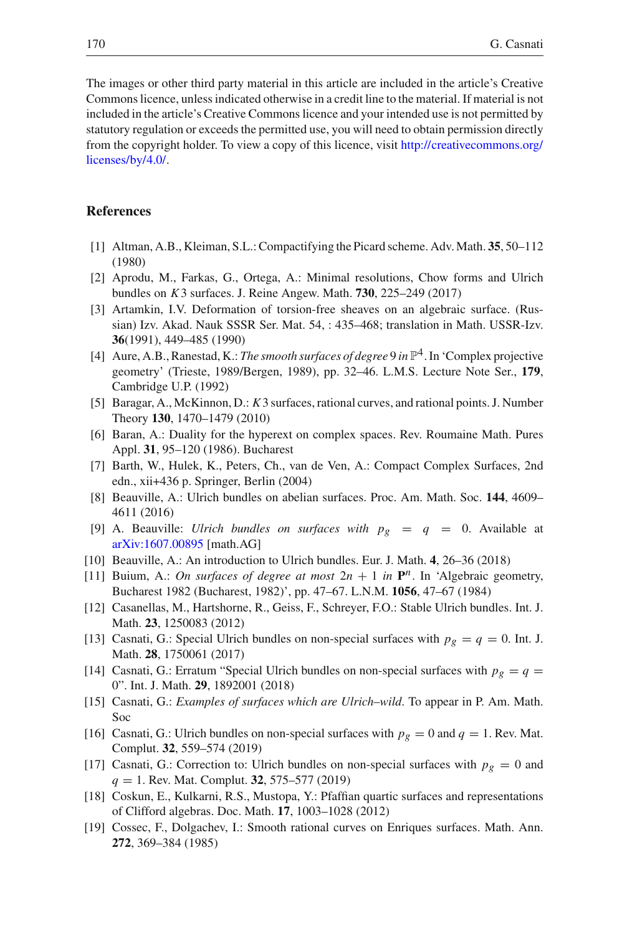The images or other third party material in this article are included in the article's Creative Commons licence, unless indicated otherwise in a credit line to the material. If material is not included in the article's Creative Commons licence and your intended use is not permitted by statutory regulation or exceeds the permitted use, you will need to obtain permission directly from the copyright holder. To view a copy of this licence, visit [http://creativecommons.org/](http://creativecommons.org/licenses/by/4.0/) [licenses/by/4.0/.](http://creativecommons.org/licenses/by/4.0/)

# **References**

- [1] Altman, A.B., Kleiman, S.L.: Compactifying the Picard scheme. Adv. Math. **35**, 50–112 (1980)
- [2] Aprodu, M., Farkas, G., Ortega, A.: Minimal resolutions, Chow forms and Ulrich bundles on *K*3 surfaces. J. Reine Angew. Math. **730**, 225–249 (2017)
- [3] Artamkin, I.V. Deformation of torsion-free sheaves on an algebraic surface. (Russian) Izv. Akad. Nauk SSSR Ser. Mat. 54, : 435–468; translation in Math. USSR-Izv. **36**(1991), 449–485 (1990)
- [4] Aure, A.B., Ranestad, K.: *The smooth surfaces of degree* 9 *in*  $\mathbb{P}^4$ . In 'Complex projective geometry' (Trieste, 1989/Bergen, 1989), pp. 32–46. L.M.S. Lecture Note Ser., **179**, Cambridge U.P. (1992)
- [5] Baragar, A., McKinnon, D.: *K*3 surfaces, rational curves, and rational points. J. Number Theory **130**, 1470–1479 (2010)
- [6] Baran, A.: Duality for the hyperext on complex spaces. Rev. Roumaine Math. Pures Appl. **31**, 95–120 (1986). Bucharest
- [7] Barth, W., Hulek, K., Peters, Ch., van de Ven, A.: Compact Complex Surfaces, 2nd edn., xii+436 p. Springer, Berlin (2004)
- [8] Beauville, A.: Ulrich bundles on abelian surfaces. Proc. Am. Math. Soc. **144**, 4609– 4611 (2016)
- [9] A. Beauville: *Ulrich bundles on surfaces with*  $p_g = q = 0$ . Available at [arXiv:1607.00895](http://arxiv.org/abs/1607.00895) [math.AG]
- [10] Beauville, A.: An introduction to Ulrich bundles. Eur. J. Math. **4**, 26–36 (2018)
- [11] Buium, A.: *On surfaces of degree at most*  $2n + 1$  *in*  $\mathbf{P}^n$ . In 'Algebraic geometry, Bucharest 1982 (Bucharest, 1982)', pp. 47–67. L.N.M. **1056**, 47–67 (1984)
- [12] Casanellas, M., Hartshorne, R., Geiss, F., Schreyer, F.O.: Stable Ulrich bundles. Int. J. Math. **23**, 1250083 (2012)
- [13] Casnati, G.: Special Ulrich bundles on non-special surfaces with  $p_g = q = 0$ . Int. J. Math. **28**, 1750061 (2017)
- [14] Casnati, G.: Erratum "Special Ulrich bundles on non-special surfaces with  $p_g = q =$ 0". Int. J. Math. **29**, 1892001 (2018)
- [15] Casnati, G.: *Examples of surfaces which are Ulrich–wild*. To appear in P. Am. Math. Soc
- [16] Casnati, G.: Ulrich bundles on non-special surfaces with  $p_g = 0$  and  $q = 1$ . Rev. Mat. Complut. **32**, 559–574 (2019)
- [17] Casnati, G.: Correction to: Ulrich bundles on non-special surfaces with  $p_g = 0$  and *q* = 1. Rev. Mat. Complut. **32**, 575–577 (2019)
- [18] Coskun, E., Kulkarni, R.S., Mustopa, Y.: Pfaffian quartic surfaces and representations of Clifford algebras. Doc. Math. **17**, 1003–1028 (2012)
- [19] Cossec, F., Dolgachev, I.: Smooth rational curves on Enriques surfaces. Math. Ann. **272**, 369–384 (1985)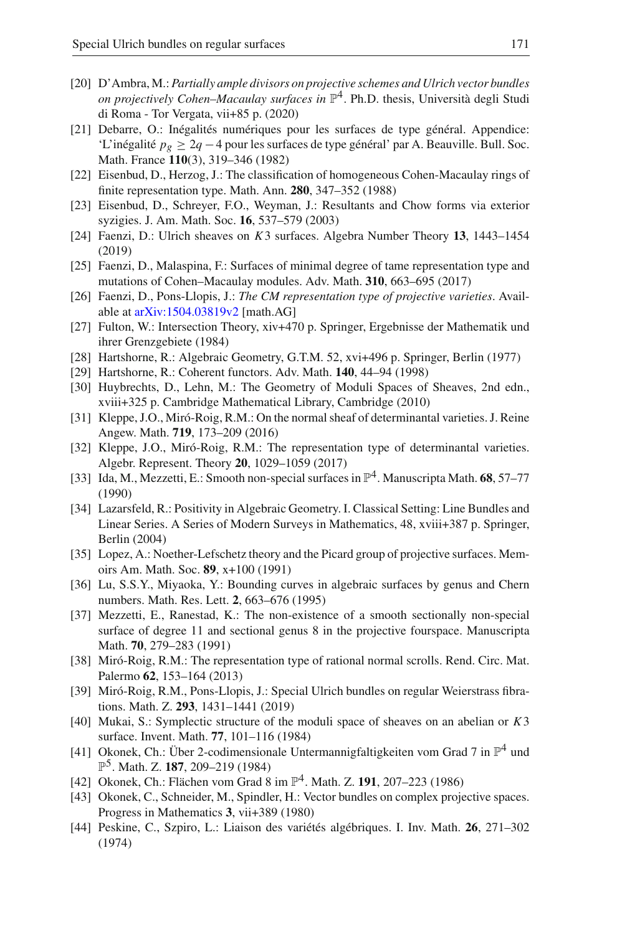- [20] D'Ambra, M.: *Partially ample divisors on projective schemes and Ulrich vector bundles on projectively Cohen–Macaulay surfaces in*  $\mathbb{P}^4$ . Ph.D. thesis, Università degli Studi di Roma - Tor Vergata, vii+85 p. (2020)
- [21] Debarre, O.: Inégalités numériques pour les surfaces de type général. Appendice: 'L'inégalité *pg* ≥ 2*q* −4 pour les surfaces de type général' par A. Beauville. Bull. Soc. Math. France **110**(3), 319–346 (1982)
- [22] Eisenbud, D., Herzog, J.: The classification of homogeneous Cohen-Macaulay rings of finite representation type. Math. Ann. **280**, 347–352 (1988)
- [23] Eisenbud, D., Schreyer, F.O., Weyman, J.: Resultants and Chow forms via exterior syzigies. J. Am. Math. Soc. **16**, 537–579 (2003)
- [24] Faenzi, D.: Ulrich sheaves on *K*3 surfaces. Algebra Number Theory **13**, 1443–1454 (2019)
- [25] Faenzi, D., Malaspina, F.: Surfaces of minimal degree of tame representation type and mutations of Cohen–Macaulay modules. Adv. Math. **310**, 663–695 (2017)
- [26] Faenzi, D., Pons-Llopis, J.: *The CM representation type of projective varieties*. Available at [arXiv:1504.03819v2](http://arxiv.org/abs/1504.03819v2) [math.AG]
- [27] Fulton, W.: Intersection Theory, xiv+470 p. Springer, Ergebnisse der Mathematik und ihrer Grenzgebiete (1984)
- [28] Hartshorne, R.: Algebraic Geometry, G.T.M. 52, xvi+496 p. Springer, Berlin (1977)
- [29] Hartshorne, R.: Coherent functors. Adv. Math. **140**, 44–94 (1998)
- [30] Huybrechts, D., Lehn, M.: The Geometry of Moduli Spaces of Sheaves, 2nd edn., xviii+325 p. Cambridge Mathematical Library, Cambridge (2010)
- [31] Kleppe, J.O., Miró-Roig, R.M.: On the normal sheaf of determinantal varieties. J. Reine Angew. Math. **719**, 173–209 (2016)
- [32] Kleppe, J.O., Miró-Roig, R.M.: The representation type of determinantal varieties. Algebr. Represent. Theory **20**, 1029–1059 (2017)
- [33] Ida, M., Mezzetti, E.: Smooth non-special surfaces in P4. Manuscripta Math. **68**, 57–77 (1990)
- [34] Lazarsfeld, R.: Positivity in Algebraic Geometry. I. Classical Setting: Line Bundles and Linear Series. A Series of Modern Surveys in Mathematics, 48, xviii+387 p. Springer, Berlin (2004)
- [35] Lopez, A.: Noether-Lefschetz theory and the Picard group of projective surfaces. Memoirs Am. Math. Soc. **89**, x+100 (1991)
- [36] Lu, S.S.Y., Miyaoka, Y.: Bounding curves in algebraic surfaces by genus and Chern numbers. Math. Res. Lett. **2**, 663–676 (1995)
- [37] Mezzetti, E., Ranestad, K.: The non-existence of a smooth sectionally non-special surface of degree 11 and sectional genus 8 in the projective fourspace. Manuscripta Math. **70**, 279–283 (1991)
- [38] Miró-Roig, R.M.: The representation type of rational normal scrolls. Rend. Circ. Mat. Palermo **62**, 153–164 (2013)
- [39] Miró-Roig, R.M., Pons-Llopis, J.: Special Ulrich bundles on regular Weierstrass fibrations. Math. Z. **293**, 1431–1441 (2019)
- [40] Mukai, S.: Symplectic structure of the moduli space of sheaves on an abelian or *K*3 surface. Invent. Math. **77**, 101–116 (1984)
- [41] Okonek, Ch.: Über 2-codimensionale Untermannigfaltigkeiten vom Grad 7 in P<sup>4</sup> und P5. Math. Z. **187**, 209–219 (1984)
- [42] Okonek, Ch.: Flächen vom Grad 8 im P4. Math. Z. **191**, 207–223 (1986)
- [43] Okonek, C., Schneider, M., Spindler, H.: Vector bundles on complex projective spaces. Progress in Mathematics **3**, vii+389 (1980)
- [44] Peskine, C., Szpiro, L.: Liaison des variétés algébriques. I. Inv. Math. **26**, 271–302 (1974)